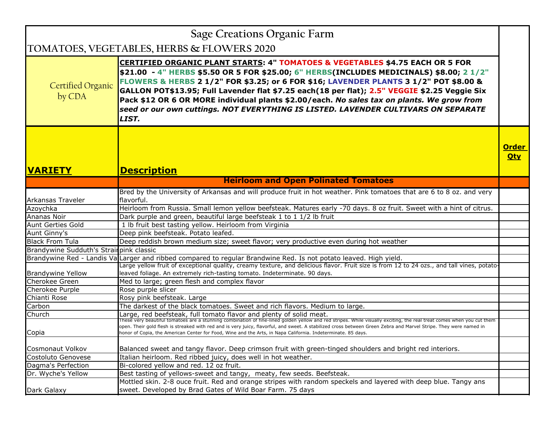|                                          | <b>Sage Creations Organic Farm</b>                                                                                                                                                                                                                                                                                                                                                                                                                                                                                                                                          |                            |
|------------------------------------------|-----------------------------------------------------------------------------------------------------------------------------------------------------------------------------------------------------------------------------------------------------------------------------------------------------------------------------------------------------------------------------------------------------------------------------------------------------------------------------------------------------------------------------------------------------------------------------|----------------------------|
|                                          | TOMATOES, VEGETABLES, HERBS & FLOWERS 2020                                                                                                                                                                                                                                                                                                                                                                                                                                                                                                                                  |                            |
| <b>Certified Organic</b><br>by CDA       | <b>CERTIFIED ORGANIC PLANT STARTS: 4" TOMATOES &amp; VEGETABLES \$4.75 EACH OR 5 FOR</b><br>\$21.00 - 4" HERBS \$5.50 OR 5 FOR \$25.00; 6" HERBS(INCLUDES MEDICINALS) \$8.00; 2 1/2"<br>FLOWERS & HERBS 2 1/2" FOR \$3.25; or 6 FOR \$16; LAVENDER PLANTS 3 1/2" POT \$8.00 &<br>GALLON POT\$13.95; Full Lavender flat \$7.25 each(18 per flat); 2.5" VEGGIE \$2.25 Veggie Six<br>Pack \$12 OR 6 OR MORE individual plants \$2.00/each. No sales tax on plants. We grow from<br>seed or our own cuttings. NOT EVERYTHING IS LISTED. LAVENDER CULTIVARS ON SEPARATE<br>LIST. |                            |
| <b>VARIETY</b>                           | <b>Description</b>                                                                                                                                                                                                                                                                                                                                                                                                                                                                                                                                                          | <b>Order</b><br><u>Otv</u> |
|                                          | <b>Heirloom and Open Polinated Tomatoes</b>                                                                                                                                                                                                                                                                                                                                                                                                                                                                                                                                 |                            |
| Arkansas Traveler                        | Bred by the University of Arkansas and will produce fruit in hot weather. Pink tomatoes that are 6 to 8 oz. and very<br>flavorful.                                                                                                                                                                                                                                                                                                                                                                                                                                          |                            |
| Azoychka                                 | Heirloom from Russia. Small lemon yellow beefsteak. Matures early -70 days. 8 oz fruit. Sweet with a hint of citrus.                                                                                                                                                                                                                                                                                                                                                                                                                                                        |                            |
| Ananas Noir                              | Dark purple and green, beautiful large beefsteak 1 to 1 1/2 lb fruit                                                                                                                                                                                                                                                                                                                                                                                                                                                                                                        |                            |
| Aunt Gerties Gold                        | 1 lb fruit best tasting yellow. Heirloom from Virginia                                                                                                                                                                                                                                                                                                                                                                                                                                                                                                                      |                            |
| Aunt Ginny's                             | Deep pink beefsteak. Potato leafed.                                                                                                                                                                                                                                                                                                                                                                                                                                                                                                                                         |                            |
| <b>Black From Tula</b>                   | Deep reddish brown medium size; sweet flavor; very productive even during hot weather                                                                                                                                                                                                                                                                                                                                                                                                                                                                                       |                            |
| Brandywine Sudduth's Strair pink classic |                                                                                                                                                                                                                                                                                                                                                                                                                                                                                                                                                                             |                            |
|                                          | Brandywine Red - Landis ValLarger and ribbed compared to regular Brandwine Red. Is not potato leaved. High yield.<br>Large yellow fruit of exceptional quality, creamy texture, and delicious flavor. Fruit size is from 12 to 24 ozs., and tall vines, potato-                                                                                                                                                                                                                                                                                                             |                            |
| <b>Brandywine Yellow</b>                 | leaved foliage. An extremely rich-tasting tomato. Indeterminate. 90 days.                                                                                                                                                                                                                                                                                                                                                                                                                                                                                                   |                            |
| <b>Cherokee Green</b>                    | Med to large; green flesh and complex flavor                                                                                                                                                                                                                                                                                                                                                                                                                                                                                                                                |                            |
| Cherokee Purple                          | Rose purple slicer                                                                                                                                                                                                                                                                                                                                                                                                                                                                                                                                                          |                            |
| Chianti Rose                             | Rosy pink beefsteak. Large                                                                                                                                                                                                                                                                                                                                                                                                                                                                                                                                                  |                            |
| Carbon                                   | The darkest of the black tomatoes. Sweet and rich flavors. Medium to large.                                                                                                                                                                                                                                                                                                                                                                                                                                                                                                 |                            |
| Church                                   | Large, red beefsteak, full tomato flavor and plenty of solid meat.                                                                                                                                                                                                                                                                                                                                                                                                                                                                                                          |                            |
| Copia                                    | These very beautiful tomatoes are a stunning combination of fine-lined golden yellow and red stripes. While visually exciting, the real treat comes when you cut them<br>open. Their gold flesh is streaked with red and is very juicy, flavorful, and sweet. A stabilized cross between Green Zebra and Marvel Stripe. They were named in<br>honor of Copia, the American Center for Food, Wine and the Arts, in Napa California. Indeterminate. 85 days.                                                                                                                  |                            |
| <b>Cosmonaut Volkov</b>                  | Balanced sweet and tangy flavor. Deep crimson fruit with green-tinged shoulders and bright red interiors.                                                                                                                                                                                                                                                                                                                                                                                                                                                                   |                            |
| Costoluto Genovese                       | Italian heirloom. Red ribbed juicy, does well in hot weather.                                                                                                                                                                                                                                                                                                                                                                                                                                                                                                               |                            |
| Dagma's Perfection                       | Bi-colored yellow and red. 12 oz fruit.                                                                                                                                                                                                                                                                                                                                                                                                                                                                                                                                     |                            |
| Dr. Wyche's Yellow                       | Best tasting of yellows-sweet and tangy, meaty, few seeds. Beefsteak.                                                                                                                                                                                                                                                                                                                                                                                                                                                                                                       |                            |
|                                          | Mottled skin. 2-8 ouce fruit. Red and orange stripes with random speckels and layered with deep blue. Tangy ans                                                                                                                                                                                                                                                                                                                                                                                                                                                             |                            |
| Dark Galaxy                              | sweet. Developed by Brad Gates of Wild Boar Farm. 75 days                                                                                                                                                                                                                                                                                                                                                                                                                                                                                                                   |                            |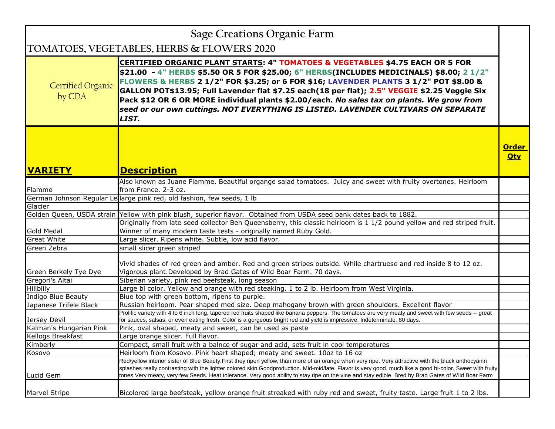| Sage Creations Organic Farm        |                                                                                                                                                                                                                                                                                                                                                                                                                                                                                                                                                                             |                        |
|------------------------------------|-----------------------------------------------------------------------------------------------------------------------------------------------------------------------------------------------------------------------------------------------------------------------------------------------------------------------------------------------------------------------------------------------------------------------------------------------------------------------------------------------------------------------------------------------------------------------------|------------------------|
|                                    | TOMATOES, VEGETABLES, HERBS & FLOWERS 2020                                                                                                                                                                                                                                                                                                                                                                                                                                                                                                                                  |                        |
| <b>Certified Organic</b><br>by CDA | <b>CERTIFIED ORGANIC PLANT STARTS: 4" TOMATOES &amp; VEGETABLES \$4.75 EACH OR 5 FOR</b><br>\$21.00 - 4" HERBS \$5.50 OR 5 FOR \$25.00; 6" HERBS(INCLUDES MEDICINALS) \$8.00; 2 1/2"<br>FLOWERS & HERBS 2 1/2" FOR \$3.25; or 6 FOR \$16; LAVENDER PLANTS 3 1/2" POT \$8.00 &<br>GALLON POT\$13.95; Full Lavender flat \$7.25 each(18 per flat); 2.5" VEGGIE \$2.25 Veggie Six<br>Pack \$12 OR 6 OR MORE individual plants \$2.00/each. No sales tax on plants. We grow from<br>seed or our own cuttings. NOT EVERYTHING IS LISTED. LAVENDER CULTIVARS ON SEPARATE<br>LIST. |                        |
| <b>IVARIETY</b>                    | <b>Description</b>                                                                                                                                                                                                                                                                                                                                                                                                                                                                                                                                                          | <b>Order</b><br>$Q$ ty |
|                                    | Also known as Juane Flamme. Beautiful organge salad tomatoes. Juicy and sweet with fruity overtones. Heirloom                                                                                                                                                                                                                                                                                                                                                                                                                                                               |                        |
| Flamme                             | from France. 2-3 oz.                                                                                                                                                                                                                                                                                                                                                                                                                                                                                                                                                        |                        |
|                                    | German Johnson Regular Le large pink red, old fashion, few seeds, 1 lb                                                                                                                                                                                                                                                                                                                                                                                                                                                                                                      |                        |
| Glacier                            |                                                                                                                                                                                                                                                                                                                                                                                                                                                                                                                                                                             |                        |
|                                    | Golden Queen, USDA strain Yellow with pink blush, superior flavor. Obtained from USDA seed bank dates back to 1882.                                                                                                                                                                                                                                                                                                                                                                                                                                                         |                        |
|                                    | Originally from late seed collector Ben Queensberry, this classic heirloom is 1 1/2 pound yellow and red striped fruit.                                                                                                                                                                                                                                                                                                                                                                                                                                                     |                        |
| <b>Gold Medal</b>                  | Winner of many modern taste tests - originally named Ruby Gold.                                                                                                                                                                                                                                                                                                                                                                                                                                                                                                             |                        |
| <b>Great White</b>                 | Large slicer. Ripens white. Subtle, low acid flavor.                                                                                                                                                                                                                                                                                                                                                                                                                                                                                                                        |                        |
| Green Zebra                        | small slicer green striped                                                                                                                                                                                                                                                                                                                                                                                                                                                                                                                                                  |                        |
| Green Berkely Tye Dye              | Vivid shades of red green and amber. Red and green stripes outside. While chartruese and red inside 8 to 12 oz.<br>Vigorous plant. Developed by Brad Gates of Wild Boar Farm. 70 days.                                                                                                                                                                                                                                                                                                                                                                                      |                        |
| Gregori's Altai                    | Siberian variety, pink red beefsteak, long season                                                                                                                                                                                                                                                                                                                                                                                                                                                                                                                           |                        |
| Hillbilly                          | Large bi color. Yellow and orange with red steaking. 1 to 2 lb. Heirloom from West Virginia.                                                                                                                                                                                                                                                                                                                                                                                                                                                                                |                        |
| Indigo Blue Beauty                 | Blue top with green bottom, ripens to purple.                                                                                                                                                                                                                                                                                                                                                                                                                                                                                                                               |                        |
| Japanese Trifele Black             | Russian heirloom. Pear shaped med size. Deep mahogany brown with green shoulders. Excellent flavor                                                                                                                                                                                                                                                                                                                                                                                                                                                                          |                        |
| Jersey Devil                       | Prolific variety with 4 to 6 inch long, tapered red fruits shaped like banana peppers. The tomatoes are very meaty and sweet with few seeds -- great<br>for sauces, salsas, or even eating fresh. Color is a gorgeous bright red and yield is impressive. Indeterminate. 80 days.                                                                                                                                                                                                                                                                                           |                        |
| Kalman's Hungarian Pink            | Pink, oval shaped, meaty and sweet, can be used as paste                                                                                                                                                                                                                                                                                                                                                                                                                                                                                                                    |                        |
| Kellogs Breakfast                  | Large orange slicer. Full flavor.                                                                                                                                                                                                                                                                                                                                                                                                                                                                                                                                           |                        |
| Kimberly                           | Compact, small fruit with a balnce of sugar and acid, sets fruit in cool temperatures                                                                                                                                                                                                                                                                                                                                                                                                                                                                                       |                        |
| Kosovo                             | Heirloom from Kosovo. Pink heart shaped; meaty and sweet. 10oz to 16 oz                                                                                                                                                                                                                                                                                                                                                                                                                                                                                                     |                        |
| Lucid Gem                          | Red/yellow interior sister of Blue Beauty. First they ripen yellow, than more of an orange when very ripe. Very attractive with the black anthocyanin<br>splashes really contrasting with the lighter colored skin.Goodproduction. Mid-mid/late. Flavor is very good, much like a good bi-color. Sweet with fruity<br>tones. Very meaty, very few Seeds. Heat tolerance. Very good ability to stay ripe on the vine and stay edible. Bred by Brad Gates of Wild Boar Farm                                                                                                   |                        |
| <b>Marvel Stripe</b>               | Bicolored large beefsteak, yellow orange fruit streaked with ruby red and sweet, fruity taste. Large fruit 1 to 2 lbs.                                                                                                                                                                                                                                                                                                                                                                                                                                                      |                        |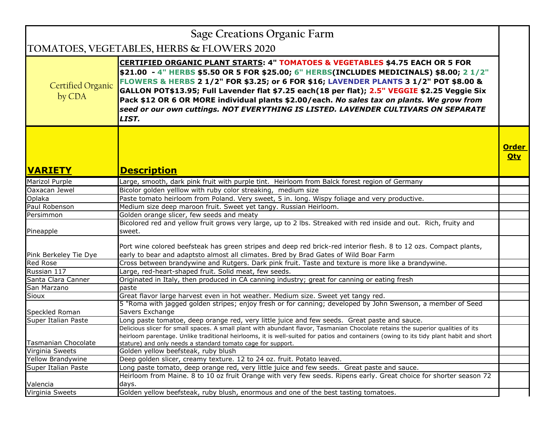| <b>Sage Creations Organic Farm</b> |                                                                                                                                                                                                                                                                                                                                                                                                                                                                                                                                                                             |                            |
|------------------------------------|-----------------------------------------------------------------------------------------------------------------------------------------------------------------------------------------------------------------------------------------------------------------------------------------------------------------------------------------------------------------------------------------------------------------------------------------------------------------------------------------------------------------------------------------------------------------------------|----------------------------|
|                                    | TOMATOES, VEGETABLES, HERBS & FLOWERS 2020                                                                                                                                                                                                                                                                                                                                                                                                                                                                                                                                  |                            |
| Certified Organic<br>by CDA        | <b>CERTIFIED ORGANIC PLANT STARTS: 4" TOMATOES &amp; VEGETABLES \$4.75 EACH OR 5 FOR</b><br>\$21.00 - 4" HERBS \$5.50 OR 5 FOR \$25.00; 6" HERBS(INCLUDES MEDICINALS) \$8.00; 2 1/2"<br>FLOWERS & HERBS 2 1/2" FOR \$3.25; or 6 FOR \$16; LAVENDER PLANTS 3 1/2" POT \$8.00 &<br>GALLON POT\$13.95; Full Lavender flat \$7.25 each(18 per flat); 2.5" VEGGIE \$2.25 Veggie Six<br>Pack \$12 OR 6 OR MORE individual plants \$2.00/each. No sales tax on plants. We grow from<br>seed or our own cuttings. NOT EVERYTHING IS LISTED. LAVENDER CULTIVARS ON SEPARATE<br>LIST. |                            |
| <b>VARIETY</b>                     | <b>Description</b>                                                                                                                                                                                                                                                                                                                                                                                                                                                                                                                                                          | <b>Order</b><br><b>Qty</b> |
| <b>Marizol Purple</b>              | Large, smooth, dark pink fruit with purple tint. Heirloom from Balck forest region of Germany                                                                                                                                                                                                                                                                                                                                                                                                                                                                               |                            |
| Oaxacan Jewel                      | Bicolor golden yelllow with ruby color streaking, medium size                                                                                                                                                                                                                                                                                                                                                                                                                                                                                                               |                            |
| Oplaka                             | Paste tomato heirloom from Poland. Very sweet, 5 in. long. Wispy foliage and very productive.                                                                                                                                                                                                                                                                                                                                                                                                                                                                               |                            |
| Paul Robenson                      | Medium size deep maroon fruit. Sweet yet tangy. Russian Heirloom.                                                                                                                                                                                                                                                                                                                                                                                                                                                                                                           |                            |
| Persimmon                          | Golden orange slicer, few seeds and meaty                                                                                                                                                                                                                                                                                                                                                                                                                                                                                                                                   |                            |
| Pineapple                          | Bicolored red and yellow fruit grows very large, up to 2 lbs. Streaked with red inside and out. Rich, fruity and<br>sweet.                                                                                                                                                                                                                                                                                                                                                                                                                                                  |                            |
| Pink Berkeley Tie Dye              | Port wine colored beefsteak has green stripes and deep red brick-red interior flesh. 8 to 12 ozs. Compact plants,<br>early to bear and adaptsto almost all climates. Bred by Brad Gates of Wild Boar Farm                                                                                                                                                                                                                                                                                                                                                                   |                            |
| <b>Red Rose</b>                    | Cross between brandywine and Rutgers. Dark pink fruit. Taste and texture is more like a brandywine.                                                                                                                                                                                                                                                                                                                                                                                                                                                                         |                            |
| Russian 117                        | Large, red-heart-shaped fruit. Solid meat, few seeds.                                                                                                                                                                                                                                                                                                                                                                                                                                                                                                                       |                            |
| Santa Clara Canner                 | Originated in Italy, then produced in CA canning industry; great for canning or eating fresh                                                                                                                                                                                                                                                                                                                                                                                                                                                                                |                            |
| San Marzano                        | paste                                                                                                                                                                                                                                                                                                                                                                                                                                                                                                                                                                       |                            |
| Sioux                              | Great flavor large harvest even in hot weather. Medium size. Sweet yet tangy red.                                                                                                                                                                                                                                                                                                                                                                                                                                                                                           |                            |
| Speckled Roman                     | 5 "Roma with jagged golden stripes; enjoy fresh or for canning; developed by John Swenson, a member of Seed<br>Savers Exchange                                                                                                                                                                                                                                                                                                                                                                                                                                              |                            |
| Super Italian Paste                | Long paste tomatoe, deep orange red, very little juice and few seeds. Great paste and sauce.                                                                                                                                                                                                                                                                                                                                                                                                                                                                                |                            |
| <b>Tasmanian Chocolate</b>         | Delicious slicer for small spaces. A small plant with abundant flavor, Tasmanian Chocolate retains the superior qualities of its<br>heirloom parentage. Unlike traditional heirlooms, it is well-suited for patios and containers (owing to its tidy plant habit and short<br>stature) and only needs a standard tomato cage for support.                                                                                                                                                                                                                                   |                            |
| Virginia Sweets                    | Golden yellow beefsteak, ruby blush                                                                                                                                                                                                                                                                                                                                                                                                                                                                                                                                         |                            |
| Yellow Brandywine                  | Deep golden slicer, creamy texture. 12 to 24 oz. fruit. Potato leaved.                                                                                                                                                                                                                                                                                                                                                                                                                                                                                                      |                            |
| Super Italian Paste                | Long paste tomato, deep orange red, very little juice and few seeds. Great paste and sauce.                                                                                                                                                                                                                                                                                                                                                                                                                                                                                 |                            |
| Valencia                           | Heirloom from Maine. 8 to 10 oz fruit Orange with very few seeds. Ripens early. Great choice for shorter season 72<br>days.                                                                                                                                                                                                                                                                                                                                                                                                                                                 |                            |
| Virginia Sweets                    | Golden yellow beefsteak, ruby blush, enormous and one of the best tasting tomatoes.                                                                                                                                                                                                                                                                                                                                                                                                                                                                                         |                            |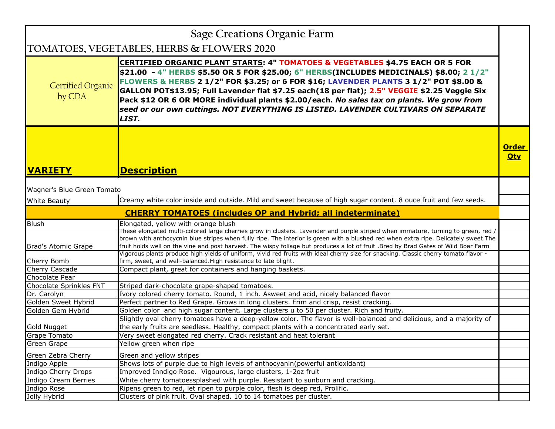| Sage Creations Organic Farm              |                                                                                                                                                                                                                                                                                                                                                                                                                                                                                                                                                                             |                            |
|------------------------------------------|-----------------------------------------------------------------------------------------------------------------------------------------------------------------------------------------------------------------------------------------------------------------------------------------------------------------------------------------------------------------------------------------------------------------------------------------------------------------------------------------------------------------------------------------------------------------------------|----------------------------|
|                                          | TOMATOES, VEGETABLES, HERBS & FLOWERS 2020                                                                                                                                                                                                                                                                                                                                                                                                                                                                                                                                  |                            |
| <b>Certified Organic</b><br>by CDA       | <b>CERTIFIED ORGANIC PLANT STARTS: 4" TOMATOES &amp; VEGETABLES \$4.75 EACH OR 5 FOR</b><br>\$21.00 - 4" HERBS \$5.50 OR 5 FOR \$25.00; 6" HERBS(INCLUDES MEDICINALS) \$8.00; 2 1/2"<br>FLOWERS & HERBS 2 1/2" FOR \$3.25; or 6 FOR \$16; LAVENDER PLANTS 3 1/2" POT \$8.00 &<br>GALLON POT\$13.95; Full Lavender flat \$7.25 each(18 per flat); 2.5" VEGGIE \$2.25 Veggie Six<br>Pack \$12 OR 6 OR MORE individual plants \$2.00/each. No sales tax on plants. We grow from<br>seed or our own cuttings. NOT EVERYTHING IS LISTED. LAVENDER CULTIVARS ON SEPARATE<br>LIST. |                            |
| <b>VARIETY</b>                           | <b>Description</b>                                                                                                                                                                                                                                                                                                                                                                                                                                                                                                                                                          | <b>Order</b><br><u>Otv</u> |
|                                          |                                                                                                                                                                                                                                                                                                                                                                                                                                                                                                                                                                             |                            |
| Wagner's Blue Green Tomato               | Creamy white color inside and outside. Mild and sweet because of high sugar content. 8 ouce fruit and few seeds.                                                                                                                                                                                                                                                                                                                                                                                                                                                            |                            |
| <b>White Beauty</b>                      |                                                                                                                                                                                                                                                                                                                                                                                                                                                                                                                                                                             |                            |
|                                          | <b>CHERRY TOMATOES (includes OP and Hybrid; all indeterminate)</b>                                                                                                                                                                                                                                                                                                                                                                                                                                                                                                          |                            |
| Blush                                    | Elongated, yellow with orange blush                                                                                                                                                                                                                                                                                                                                                                                                                                                                                                                                         |                            |
|                                          | These elongated multi-colored large cherries grow in clusters. Lavender and purple striped when immature, turning to green, red /<br>brown with anthocycnin blue stripes when fully ripe. The interior is green with a blushed red when extra ripe. Delicately sweet. The                                                                                                                                                                                                                                                                                                   |                            |
| Brad's Atomic Grape                      | fruit holds well on the vine and post harvest. The wispy foliage but produces a lot of fruit .Bred by Brad Gates of Wild Boar Farm                                                                                                                                                                                                                                                                                                                                                                                                                                          |                            |
|                                          | Vigorous plants produce high yields of uniform, vivid red fruits with ideal cherry size for snacking. Classic cherry tomato flavor -                                                                                                                                                                                                                                                                                                                                                                                                                                        |                            |
| Cherry Bomb                              | firm, sweet, and well-balanced. High resistance to late blight.                                                                                                                                                                                                                                                                                                                                                                                                                                                                                                             |                            |
| Cherry Cascade                           | Compact plant, great for containers and hanging baskets.                                                                                                                                                                                                                                                                                                                                                                                                                                                                                                                    |                            |
| Chocolate Pear                           |                                                                                                                                                                                                                                                                                                                                                                                                                                                                                                                                                                             |                            |
| Chocolate Sprinkles FNT                  | Striped dark-chocolate grape-shaped tomatoes.                                                                                                                                                                                                                                                                                                                                                                                                                                                                                                                               |                            |
| Dr. Carolyn                              | Ivory colored cherry tomato. Round, 1 inch. Asweet and acid, nicely balanced flavor                                                                                                                                                                                                                                                                                                                                                                                                                                                                                         |                            |
| Golden Sweet Hybrid<br>Golden Gem Hybrid | Perfect partner to Red Grape. Grows in long clusters. Frim and crisp, resist cracking.<br>Golden color and high sugar content. Large clusters u to 50 per cluster. Rich and fruity.                                                                                                                                                                                                                                                                                                                                                                                         |                            |
|                                          | Slightly oval cherry tomatoes have a deep-yellow color. The flavor is well-balanced and delicious, and a majority of                                                                                                                                                                                                                                                                                                                                                                                                                                                        |                            |
| Gold Nugget                              | the early fruits are seedless. Healthy, compact plants with a concentrated early set.                                                                                                                                                                                                                                                                                                                                                                                                                                                                                       |                            |
| Grape Tomato                             | Very sweet elongated red cherry. Crack resistant and heat tolerant                                                                                                                                                                                                                                                                                                                                                                                                                                                                                                          |                            |
| Green Grape                              | Yellow green when ripe                                                                                                                                                                                                                                                                                                                                                                                                                                                                                                                                                      |                            |
| Green Zebra Cherry                       | Green and yellow stripes                                                                                                                                                                                                                                                                                                                                                                                                                                                                                                                                                    |                            |
| Indigo Apple                             | Shows lots of purple due to high levels of anthocyanin(powerful antioxidant)                                                                                                                                                                                                                                                                                                                                                                                                                                                                                                |                            |
| Indigo Cherry Drops                      | Improved Inndigo Rose. Vigourous, large clusters, 1-2oz fruit                                                                                                                                                                                                                                                                                                                                                                                                                                                                                                               |                            |
| Indigo Cream Berries                     | White cherry tomatoessplashed with purple. Resistant to sunburn and cracking.                                                                                                                                                                                                                                                                                                                                                                                                                                                                                               |                            |
| Indigo Rose                              | Ripens green to red, let ripen to purple color, flesh is deep red, Prolific.                                                                                                                                                                                                                                                                                                                                                                                                                                                                                                |                            |
| Jolly Hybrid                             | Clusters of pink fruit. Oval shaped. 10 to 14 tomatoes per cluster.                                                                                                                                                                                                                                                                                                                                                                                                                                                                                                         |                            |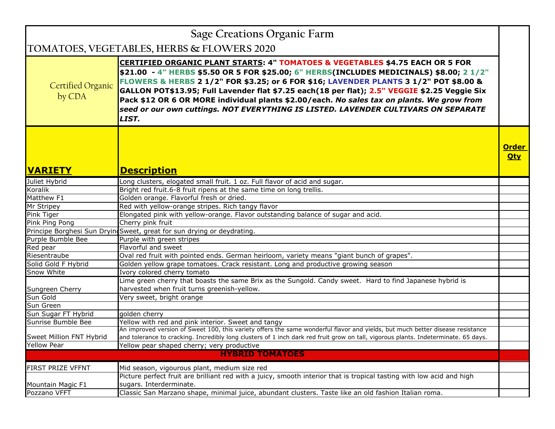| <b>Sage Creations Organic Farm</b> |                                                                                                                                                                                                                                                                                                                                                                                                                                                                                                                                                                             |                            |
|------------------------------------|-----------------------------------------------------------------------------------------------------------------------------------------------------------------------------------------------------------------------------------------------------------------------------------------------------------------------------------------------------------------------------------------------------------------------------------------------------------------------------------------------------------------------------------------------------------------------------|----------------------------|
|                                    | TOMATOES, VEGETABLES, HERBS & FLOWERS 2020                                                                                                                                                                                                                                                                                                                                                                                                                                                                                                                                  |                            |
| <b>Certified Organic</b><br>by CDA | <b>CERTIFIED ORGANIC PLANT STARTS: 4" TOMATOES &amp; VEGETABLES \$4.75 EACH OR 5 FOR</b><br>\$21.00 - 4" HERBS \$5.50 OR 5 FOR \$25.00; 6" HERBS(INCLUDES MEDICINALS) \$8.00; 2 1/2"<br>FLOWERS & HERBS 2 1/2" FOR \$3.25; or 6 FOR \$16; LAVENDER PLANTS 3 1/2" POT \$8.00 &<br>GALLON POT\$13.95; Full Lavender flat \$7.25 each(18 per flat); 2.5" VEGGIE \$2.25 Veggie Six<br>Pack \$12 OR 6 OR MORE individual plants \$2.00/each. No sales tax on plants. We grow from<br>seed or our own cuttings. NOT EVERYTHING IS LISTED. LAVENDER CULTIVARS ON SEPARATE<br>LIST. |                            |
| <b>VARIETY</b>                     | <b>Description</b>                                                                                                                                                                                                                                                                                                                                                                                                                                                                                                                                                          | <b>Order</b><br><b>Qty</b> |
| Juliet Hybrid                      | Long clusters, elogated small fruit. 1 oz. Full flavor of acid and sugar.                                                                                                                                                                                                                                                                                                                                                                                                                                                                                                   |                            |
| Koralik                            | Bright red fruit.6-8 fruit ripens at the same time on long trellis.                                                                                                                                                                                                                                                                                                                                                                                                                                                                                                         |                            |
| Matthew <sub>F1</sub>              | Golden orange. Flavorful fresh or dried.                                                                                                                                                                                                                                                                                                                                                                                                                                                                                                                                    |                            |
| Mr Stripey                         | Red with yellow-orange stripes. Rich tangy flavor                                                                                                                                                                                                                                                                                                                                                                                                                                                                                                                           |                            |
| Pink Tiger                         | Elongated pink with yellow-orange. Flavor outstanding balance of sugar and acid.                                                                                                                                                                                                                                                                                                                                                                                                                                                                                            |                            |
| Pink Ping Pong                     | Cherry pink fruit                                                                                                                                                                                                                                                                                                                                                                                                                                                                                                                                                           |                            |
|                                    | Principe Borghesi Sun Dryin Sweet, great for sun drying or deydrating.                                                                                                                                                                                                                                                                                                                                                                                                                                                                                                      |                            |
| Purple Bumble Bee                  | Purple with green stripes                                                                                                                                                                                                                                                                                                                                                                                                                                                                                                                                                   |                            |
| Red pear                           | Flavorful and sweet                                                                                                                                                                                                                                                                                                                                                                                                                                                                                                                                                         |                            |
| Riesentraube                       | Oval red fruit with pointed ends. German heirloom, variety means "giant bunch of grapes".                                                                                                                                                                                                                                                                                                                                                                                                                                                                                   |                            |
| Solid Gold F Hybrid                | Golden yellow grape tomatoes. Crack resistant. Long and productive growing season                                                                                                                                                                                                                                                                                                                                                                                                                                                                                           |                            |
| Snow White                         | Ivory colored cherry tomato                                                                                                                                                                                                                                                                                                                                                                                                                                                                                                                                                 |                            |
|                                    | Lime green cherry that boasts the same Brix as the Sungold. Candy sweet. Hard to find Japanese hybrid is                                                                                                                                                                                                                                                                                                                                                                                                                                                                    |                            |
| Sungreen Cherry                    | harvested when fruit turns greenish-yellow.                                                                                                                                                                                                                                                                                                                                                                                                                                                                                                                                 |                            |
| Sun Gold                           | Very sweet, bright orange                                                                                                                                                                                                                                                                                                                                                                                                                                                                                                                                                   |                            |
| Sun Green                          |                                                                                                                                                                                                                                                                                                                                                                                                                                                                                                                                                                             |                            |
| Sun Sugar FT Hybrid                | golden cherry                                                                                                                                                                                                                                                                                                                                                                                                                                                                                                                                                               |                            |
| Sunrise Bumble Bee                 | Yellow with red and pink interior. Sweet and tangy                                                                                                                                                                                                                                                                                                                                                                                                                                                                                                                          |                            |
|                                    | An improved version of Sweet 100, this variety offers the same wonderful flavor and yields, but much better disease resistance                                                                                                                                                                                                                                                                                                                                                                                                                                              |                            |
| Sweet Million FNT Hybrid           | and tolerance to cracking. Incredibly long clusters of 1 inch dark red fruit grow on tall, vigorous plants. Indeterminate. 65 days.                                                                                                                                                                                                                                                                                                                                                                                                                                         |                            |
| Yellow Pear                        | Yellow pear shaped cherry; very productive                                                                                                                                                                                                                                                                                                                                                                                                                                                                                                                                  |                            |
|                                    | <b>HYBRID TOMATOES</b>                                                                                                                                                                                                                                                                                                                                                                                                                                                                                                                                                      |                            |
| FIRST PRIZE VFFNT                  | Mid season, vigourous plant, medium size red                                                                                                                                                                                                                                                                                                                                                                                                                                                                                                                                |                            |
|                                    | Picture perfect fruit are brilliant red with a juicy, smooth interior that is tropical tasting with low acid and high                                                                                                                                                                                                                                                                                                                                                                                                                                                       |                            |
| Mountain Magic F1                  | sugars. Interderminate.                                                                                                                                                                                                                                                                                                                                                                                                                                                                                                                                                     |                            |
| Pozzano VFFT                       | Classic San Marzano shape, minimal juice, abundant clusters. Taste like an old fashion Italian roma.                                                                                                                                                                                                                                                                                                                                                                                                                                                                        |                            |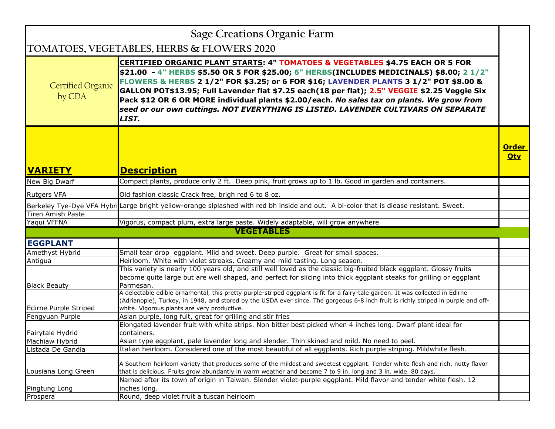| Sage Creations Organic Farm        |                                                                                                                                                                                                                                                                                                                                                                                                                                                                                                                                                                             |                            |
|------------------------------------|-----------------------------------------------------------------------------------------------------------------------------------------------------------------------------------------------------------------------------------------------------------------------------------------------------------------------------------------------------------------------------------------------------------------------------------------------------------------------------------------------------------------------------------------------------------------------------|----------------------------|
|                                    | TOMATOES, VEGETABLES, HERBS & FLOWERS 2020                                                                                                                                                                                                                                                                                                                                                                                                                                                                                                                                  |                            |
| <b>Certified Organic</b><br>by CDA | <b>CERTIFIED ORGANIC PLANT STARTS: 4" TOMATOES &amp; VEGETABLES \$4.75 EACH OR 5 FOR</b><br>\$21.00 - 4" HERBS \$5.50 OR 5 FOR \$25.00; 6" HERBS(INCLUDES MEDICINALS) \$8.00; 2 1/2"<br>FLOWERS & HERBS 2 1/2" FOR \$3.25; or 6 FOR \$16; LAVENDER PLANTS 3 1/2" POT \$8.00 &<br>GALLON POT\$13.95; Full Lavender flat \$7.25 each(18 per flat); 2.5" VEGGIE \$2.25 Veggie Six<br>Pack \$12 OR 6 OR MORE individual plants \$2.00/each. No sales tax on plants. We grow from<br>seed or our own cuttings. NOT EVERYTHING IS LISTED. LAVENDER CULTIVARS ON SEPARATE<br>LIST. |                            |
| <b>VARIETY</b>                     | <b>Description</b>                                                                                                                                                                                                                                                                                                                                                                                                                                                                                                                                                          | <b>Order</b><br><b>Qty</b> |
| New Big Dwarf                      | Compact plants, produce only 2 ft. Deep pink, fruit grows up to 1 lb. Good in garden and containers.                                                                                                                                                                                                                                                                                                                                                                                                                                                                        |                            |
| <b>Rutgers VFA</b>                 | Old fashion classic Crack free, brigh red 6 to 8 oz.                                                                                                                                                                                                                                                                                                                                                                                                                                                                                                                        |                            |
|                                    | Berkeley Tye-Dye VFA Hybri Large bright yellow-orange siplashed with red bh inside and out. A bi-color that is diease resistant. Sweet.                                                                                                                                                                                                                                                                                                                                                                                                                                     |                            |
| <b>Tiren Amish Paste</b>           |                                                                                                                                                                                                                                                                                                                                                                                                                                                                                                                                                                             |                            |
| Yaqui VFFNA                        | Vigorus, compact plum, extra large paste. Widely adaptable, will grow anywhere                                                                                                                                                                                                                                                                                                                                                                                                                                                                                              |                            |
| <b>VEGETABLES</b>                  |                                                                                                                                                                                                                                                                                                                                                                                                                                                                                                                                                                             |                            |
| <b>EGGPLANT</b>                    |                                                                                                                                                                                                                                                                                                                                                                                                                                                                                                                                                                             |                            |
| Amethyst Hybrid                    | Small tear drop eggplant. Mild and sweet. Deep purple. Great for small spaces.                                                                                                                                                                                                                                                                                                                                                                                                                                                                                              |                            |
| Antigua                            | Heirloom. White with violet streaks. Creamy and mild tasting. Long season.                                                                                                                                                                                                                                                                                                                                                                                                                                                                                                  |                            |
| <b>Black Beauty</b>                | This variety is nearly 100 years old, and still well loved as the classic big-fruited black eggplant. Glossy fruits<br>become quite large but are well shaped, and perfect for slicing into thick eggplant steaks for grilling or eggplant<br>Parmesan.                                                                                                                                                                                                                                                                                                                     |                            |
| Edirne Purple Striped              | A delectable edible ornamental, this pretty purple-striped eggplant is fit for a fairy-tale garden. It was collected in Edirne<br>(Adrianople), Turkey, in 1948, and stored by the USDA ever since. The gorgeous 6-8 inch fruit is richly striped in purple and off-<br>white. Vigorous plants are very productive.                                                                                                                                                                                                                                                         |                            |
| Fengyuan Purple                    | Asian purple, long fuit, great for grilling and stir fries                                                                                                                                                                                                                                                                                                                                                                                                                                                                                                                  |                            |
|                                    | Elongated lavender fruit with white strips. Non bitter best picked when 4 inches long. Dwarf plant ideal for                                                                                                                                                                                                                                                                                                                                                                                                                                                                |                            |
| Fairytale Hydrid                   | containers.                                                                                                                                                                                                                                                                                                                                                                                                                                                                                                                                                                 |                            |
| Machiaw Hybrid                     | Asian type eggplant, pale lavender long and slender. Thin skined and mild. No need to peel.                                                                                                                                                                                                                                                                                                                                                                                                                                                                                 |                            |
| Listada De Gandia                  | Italian heirloom. Considered one of the most beautiful of all eggplants. Rich purple striping. Mildwhite flesh.                                                                                                                                                                                                                                                                                                                                                                                                                                                             |                            |
| Lousiana Long Green                | A Southern heirloom variety that produces some of the mildest and sweetest eggplant. Tender white flesh and rich, nutty flavor<br>that is delicious. Fruits grow abundantly in warm weather and become 7 to 9 in. long and 3 in. wide. 80 days.                                                                                                                                                                                                                                                                                                                             |                            |
|                                    | Named after its town of origin in Taiwan. Slender violet-purple eggplant. Mild flavor and tender white flesh. 12                                                                                                                                                                                                                                                                                                                                                                                                                                                            |                            |
| Pingtung Long                      | inches long.                                                                                                                                                                                                                                                                                                                                                                                                                                                                                                                                                                |                            |
| Prospera                           | Round, deep violet fruit a tuscan heirloom                                                                                                                                                                                                                                                                                                                                                                                                                                                                                                                                  |                            |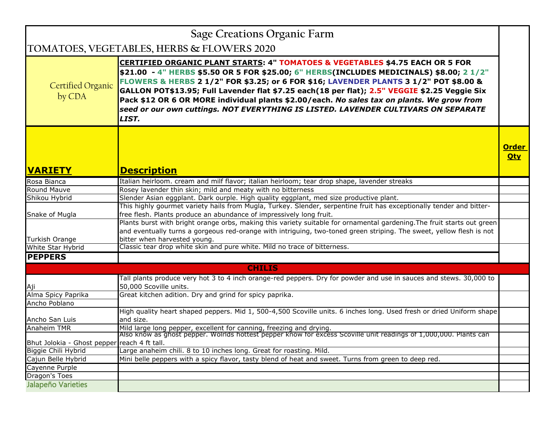|                                              | <b>Sage Creations Organic Farm</b>                                                                                                                                                                                                                                                                                                                                                                                                                                                                                                                                          |                            |
|----------------------------------------------|-----------------------------------------------------------------------------------------------------------------------------------------------------------------------------------------------------------------------------------------------------------------------------------------------------------------------------------------------------------------------------------------------------------------------------------------------------------------------------------------------------------------------------------------------------------------------------|----------------------------|
|                                              | TOMATOES, VEGETABLES, HERBS & FLOWERS 2020                                                                                                                                                                                                                                                                                                                                                                                                                                                                                                                                  |                            |
| <b>Certified Organic</b><br>by CDA           | <b>CERTIFIED ORGANIC PLANT STARTS: 4" TOMATOES &amp; VEGETABLES \$4.75 EACH OR 5 FOR</b><br>\$21.00 - 4" HERBS \$5.50 OR 5 FOR \$25.00; 6" HERBS(INCLUDES MEDICINALS) \$8.00; 2 1/2"<br>FLOWERS & HERBS 2 1/2" FOR \$3.25; or 6 FOR \$16; LAVENDER PLANTS 3 1/2" POT \$8.00 &<br>GALLON POT\$13.95; Full Lavender flat \$7.25 each(18 per flat); 2.5" VEGGIE \$2.25 Veggie Six<br>Pack \$12 OR 6 OR MORE individual plants \$2.00/each. No sales tax on plants. We grow from<br>seed or our own cuttings. NOT EVERYTHING IS LISTED. LAVENDER CULTIVARS ON SEPARATE<br>LIST. |                            |
|                                              |                                                                                                                                                                                                                                                                                                                                                                                                                                                                                                                                                                             | <b>Order</b><br><b>Qty</b> |
| <b>VARIETY</b>                               | <b>Description</b>                                                                                                                                                                                                                                                                                                                                                                                                                                                                                                                                                          |                            |
| Rosa Bianca                                  | Italian heirloom. cream and milf flavor; italian heirloom; tear drop shape, lavender streaks                                                                                                                                                                                                                                                                                                                                                                                                                                                                                |                            |
| Round Mauve                                  | Rosey lavender thin skin; mild and meaty with no bitterness                                                                                                                                                                                                                                                                                                                                                                                                                                                                                                                 |                            |
| Shikou Hybrid                                | Slender Asian eggplant. Dark ourple. High quality eggplant, med size productive plant.                                                                                                                                                                                                                                                                                                                                                                                                                                                                                      |                            |
|                                              | This highly gourmet variety hails from Mugla, Turkey. Slender, serpentine fruit has exceptionally tender and bitter-                                                                                                                                                                                                                                                                                                                                                                                                                                                        |                            |
| Snake of Mugla                               | free flesh. Plants produce an abundance of impressively long fruit.<br>Plants burst with bright orange orbs, making this variety suitable for ornamental gardening. The fruit starts out green<br>and eventually turns a gorgeous red-orange with intriguing, two-toned green striping. The sweet, yellow flesh is not                                                                                                                                                                                                                                                      |                            |
| Turkish Orange                               | bitter when harvested young.                                                                                                                                                                                                                                                                                                                                                                                                                                                                                                                                                |                            |
| White Star Hybrid                            | Classic tear drop white skin and pure white. Mild no trace of bitterness.                                                                                                                                                                                                                                                                                                                                                                                                                                                                                                   |                            |
| <b>PEPPERS</b>                               |                                                                                                                                                                                                                                                                                                                                                                                                                                                                                                                                                                             |                            |
|                                              | <b>CHILIS</b>                                                                                                                                                                                                                                                                                                                                                                                                                                                                                                                                                               |                            |
| Aji                                          | Tall plants produce very hot 3 to 4 inch orange-red peppers. Dry for powder and use in sauces and stews. 30,000 to<br>50,000 Scoville units.                                                                                                                                                                                                                                                                                                                                                                                                                                |                            |
| Alma Spicy Paprika                           | Great kitchen adition. Dry and grind for spicy paprika.                                                                                                                                                                                                                                                                                                                                                                                                                                                                                                                     |                            |
| Ancho Poblano                                |                                                                                                                                                                                                                                                                                                                                                                                                                                                                                                                                                                             |                            |
|                                              | High quality heart shaped peppers. Mid 1, 500-4,500 Scoville units. 6 inches long. Used fresh or dried Uniform shape                                                                                                                                                                                                                                                                                                                                                                                                                                                        |                            |
| Ancho San Luis                               | and size.                                                                                                                                                                                                                                                                                                                                                                                                                                                                                                                                                                   |                            |
| Anaheim TMR                                  | Mild large long pepper, excellent for canning, freezing and drying.<br>Also know as ghost pepper. Wolrlds hottest pepper know for excess Scoville unit readings of 1,000,000. Plants can                                                                                                                                                                                                                                                                                                                                                                                    |                            |
| Bhut Jolokia - Ghost pepper reach 4 ft tall. |                                                                                                                                                                                                                                                                                                                                                                                                                                                                                                                                                                             |                            |
| Biggie Chili Hybrid                          | Large anaheim chili. 8 to 10 inches long. Great for roasting. Mild.                                                                                                                                                                                                                                                                                                                                                                                                                                                                                                         |                            |
| Cajun Belle Hybrid                           | Mini belle peppers with a spicy flavor, tasty blend of heat and sweet. Turns from green to deep red.                                                                                                                                                                                                                                                                                                                                                                                                                                                                        |                            |
| Cayenne Purple                               |                                                                                                                                                                                                                                                                                                                                                                                                                                                                                                                                                                             |                            |
| Dragon's Toes                                |                                                                                                                                                                                                                                                                                                                                                                                                                                                                                                                                                                             |                            |
| Jalapeño Varieties                           |                                                                                                                                                                                                                                                                                                                                                                                                                                                                                                                                                                             |                            |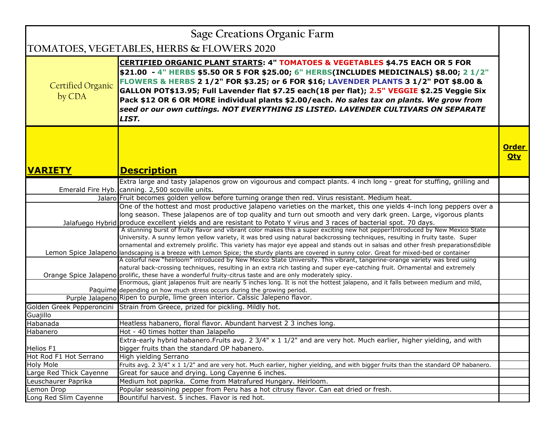| <b>Sage Creations Organic Farm</b> |                                                                                                                                                                                                                                                                                                                                                                                                                                                                                                                                                                             |                            |
|------------------------------------|-----------------------------------------------------------------------------------------------------------------------------------------------------------------------------------------------------------------------------------------------------------------------------------------------------------------------------------------------------------------------------------------------------------------------------------------------------------------------------------------------------------------------------------------------------------------------------|----------------------------|
|                                    | TOMATOES, VEGETABLES, HERBS & FLOWERS 2020                                                                                                                                                                                                                                                                                                                                                                                                                                                                                                                                  |                            |
| <b>Certified Organic</b><br>by CDA | <b>CERTIFIED ORGANIC PLANT STARTS: 4" TOMATOES &amp; VEGETABLES \$4.75 EACH OR 5 FOR</b><br>\$21.00 - 4" HERBS \$5.50 OR 5 FOR \$25.00; 6" HERBS(INCLUDES MEDICINALS) \$8.00; 2 1/2"<br>FLOWERS & HERBS 2 1/2" FOR \$3.25; or 6 FOR \$16; LAVENDER PLANTS 3 1/2" POT \$8.00 &<br>GALLON POT\$13.95; Full Lavender flat \$7.25 each(18 per flat); 2.5" VEGGIE \$2.25 Veggie Six<br>Pack \$12 OR 6 OR MORE individual plants \$2.00/each. No sales tax on plants. We grow from<br>seed or our own cuttings. NOT EVERYTHING IS LISTED. LAVENDER CULTIVARS ON SEPARATE<br>LIST. |                            |
| <b>VARIETY</b>                     | <b>Description</b>                                                                                                                                                                                                                                                                                                                                                                                                                                                                                                                                                          | <b>Order</b><br><b>Qty</b> |
|                                    | Extra large and tasty jalapenos grow on vigourous and compact plants. 4 inch long - great for stuffing, grilling and                                                                                                                                                                                                                                                                                                                                                                                                                                                        |                            |
|                                    | Emerald Fire Hyb. canning. 2,500 scoville units.                                                                                                                                                                                                                                                                                                                                                                                                                                                                                                                            |                            |
|                                    | Jalaro Fruit becomes golden yellow before turning orange then red. Virus resistant. Medium heat.                                                                                                                                                                                                                                                                                                                                                                                                                                                                            |                            |
|                                    | One of the hottest and most productive jalapeno varieties on the market, this one yields 4-inch long peppers over a<br>long season. These jalapenos are of top quality and turn out smooth and very dark green. Large, vigorous plants<br>Jalafuego Hybrid produce excellent yields and are resistant to Potato Y virus and 3 races of bacterial spot. 70 days.                                                                                                                                                                                                             |                            |
|                                    | A stunning burst of fruity flavor and vibrant color makes this a super exciting new hot pepper! Introduced by New Mexico State<br>University. A sunny lemon yellow variety, it was bred using natural backcrossing techniques, resulting in fruity taste. Super<br>ornamental and extremely prolific. This variety has major eye appeal and stands out in salsas and other fresh preparationsEdible<br>Lemon Spice Jalapeno landscaping is a breeze with Lemon Spice; the sturdy plants are covered in sunny color. Great for mixed-bed or container                        |                            |
|                                    | A colorful new "heirloom" introduced by New Mexico State University. This vibrant, tangerine-orange variety was bred using<br>natural back-crossing techniques, resulting in an extra rich tasting and super eye-catching fruit. Ornamental and extremely<br>Orange Spice Jalapeno prolific, these have a wonderful fruity-citrus taste and are only moderately spicy.                                                                                                                                                                                                      |                            |
|                                    | Enormous, giant jalapenos fruit are nearly 5 inches long. It is not the hottest jalapeno, and it falls between medium and mild,<br>Paquime depending on how much stress occurs during the growing period.                                                                                                                                                                                                                                                                                                                                                                   |                            |
|                                    | Purple Jalapeno Ripen to purple, lime green interior. Calssic Jalepeno flavor.                                                                                                                                                                                                                                                                                                                                                                                                                                                                                              |                            |
|                                    | Golden Greek Pepperoncini Strain from Greece, prized for pickling. Mildly hot.                                                                                                                                                                                                                                                                                                                                                                                                                                                                                              |                            |
| Guajillo                           |                                                                                                                                                                                                                                                                                                                                                                                                                                                                                                                                                                             |                            |
| Habanada                           | Heatless habanero, floral flavor. Abundant harvest 2 3 inches long.                                                                                                                                                                                                                                                                                                                                                                                                                                                                                                         |                            |
| Habanero                           | Hot - 40 times hotter than Jalapeño                                                                                                                                                                                                                                                                                                                                                                                                                                                                                                                                         |                            |
| Helios F1                          | Extra-early hybrid habanero. Fruits avg. 2 $3/4" \times 1$ $1/2"$ and are very hot. Much earlier, higher yielding, and with<br>bigger fruits than the standard OP habanero.                                                                                                                                                                                                                                                                                                                                                                                                 |                            |
| Hot Rod F1 Hot Serrano             | High yielding Serrano                                                                                                                                                                                                                                                                                                                                                                                                                                                                                                                                                       |                            |
| <b>Holy Mole</b>                   | Fruits avg. 2 3/4" x 1 1/2" and are very hot. Much earlier, higher yielding, and with bigger fruits than the standard OP habanero.                                                                                                                                                                                                                                                                                                                                                                                                                                          |                            |
| Large Red Thick Cayenne            | Great for sauce and drying. Long Cayenne 6 inches.                                                                                                                                                                                                                                                                                                                                                                                                                                                                                                                          |                            |
| Leuschaurer Paprika                | Medium hot paprika. Come from Matrafured Hungary. Heirloom.                                                                                                                                                                                                                                                                                                                                                                                                                                                                                                                 |                            |
| Lemon Drop                         | Popular seasoining pepper from Peru has a hot citrusy flavor. Can eat dried or fresh.                                                                                                                                                                                                                                                                                                                                                                                                                                                                                       |                            |
| Long Red Slim Cayenne              | Bountiful harvest. 5 inches. Flavor is red hot.                                                                                                                                                                                                                                                                                                                                                                                                                                                                                                                             |                            |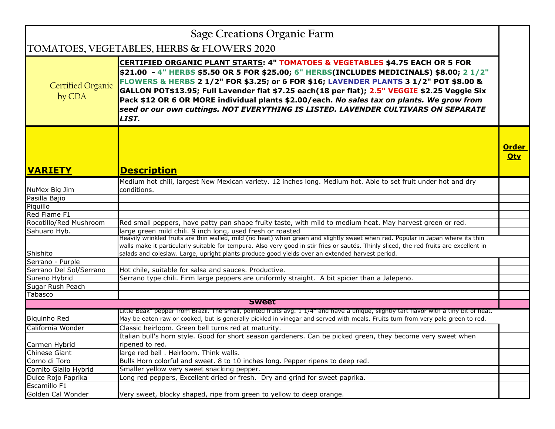| Sage Creations Organic Farm        |                                                                                                                                                                                                                                                                                                                                                                                                                                                                                                                                                                  |                            |
|------------------------------------|------------------------------------------------------------------------------------------------------------------------------------------------------------------------------------------------------------------------------------------------------------------------------------------------------------------------------------------------------------------------------------------------------------------------------------------------------------------------------------------------------------------------------------------------------------------|----------------------------|
|                                    | TOMATOES, VEGETABLES, HERBS & FLOWERS 2020                                                                                                                                                                                                                                                                                                                                                                                                                                                                                                                       |                            |
| <b>Certified Organic</b><br>by CDA | CERTIFIED ORGANIC PLANT STARTS: 4" TOMATOES & VEGETABLES \$4.75 EACH OR 5 FOR<br>\$21.00 - 4" HERBS \$5.50 OR 5 FOR \$25.00; 6" HERBS(INCLUDES MEDICINALS) \$8.00; 2 1/2"<br>FLOWERS & HERBS 2 1/2" FOR \$3.25; or 6 FOR \$16; LAVENDER PLANTS 3 1/2" POT \$8.00 &<br>GALLON POT\$13.95; Full Lavender flat \$7.25 each(18 per flat); 2.5" VEGGIE \$2.25 Veggie Six<br>Pack \$12 OR 6 OR MORE individual plants \$2.00/each. No sales tax on plants. We grow from<br>seed or our own cuttings. NOT EVERYTHING IS LISTED. LAVENDER CULTIVARS ON SEPARATE<br>LIST. |                            |
| <b>VARIETY</b>                     | <b>Description</b>                                                                                                                                                                                                                                                                                                                                                                                                                                                                                                                                               | <b>Order</b><br><b>Qty</b> |
|                                    | Medium hot chili, largest New Mexican variety. 12 inches long. Medium hot. Able to set fruit under hot and dry                                                                                                                                                                                                                                                                                                                                                                                                                                                   |                            |
| NuMex Big Jim                      | conditions.                                                                                                                                                                                                                                                                                                                                                                                                                                                                                                                                                      |                            |
| Pasilla Bajio                      |                                                                                                                                                                                                                                                                                                                                                                                                                                                                                                                                                                  |                            |
| Piquillo                           |                                                                                                                                                                                                                                                                                                                                                                                                                                                                                                                                                                  |                            |
| Red Flame F1                       |                                                                                                                                                                                                                                                                                                                                                                                                                                                                                                                                                                  |                            |
| Rocotillo/Red Mushroom             | Red small peppers, have patty pan shape fruity taste, with mild to medium heat. May harvest green or red.                                                                                                                                                                                                                                                                                                                                                                                                                                                        |                            |
| Sahuaro Hyb.                       | large green mild chili. 9 inch long, used fresh or roasted                                                                                                                                                                                                                                                                                                                                                                                                                                                                                                       |                            |
|                                    | Heavily wrinkled fruits are thin walled, mild (no heat) when green and slightly sweet when red. Popular in Japan where its thin<br>walls make it particularly suitable for tempura. Also very good in stir fries or sautés. Thinly sliced, the red fruits are excellent in                                                                                                                                                                                                                                                                                       |                            |
| Shishito                           | salads and coleslaw. Large, upright plants produce good yields over an extended harvest period.                                                                                                                                                                                                                                                                                                                                                                                                                                                                  |                            |
| Serrano - Purple                   |                                                                                                                                                                                                                                                                                                                                                                                                                                                                                                                                                                  |                            |
| Serrano Del Sol/Serrano            | Hot chile, suitable for salsa and sauces. Productive.                                                                                                                                                                                                                                                                                                                                                                                                                                                                                                            |                            |
| Sureno Hybrid                      | Serrano type chili. Firm large peppers are uniformly straight. A bit spicier than a Jalepeno.                                                                                                                                                                                                                                                                                                                                                                                                                                                                    |                            |
| Sugar Rush Peach                   |                                                                                                                                                                                                                                                                                                                                                                                                                                                                                                                                                                  |                            |
| Tabasco                            |                                                                                                                                                                                                                                                                                                                                                                                                                                                                                                                                                                  |                            |
|                                    | <b>Sweet</b>                                                                                                                                                                                                                                                                                                                                                                                                                                                                                                                                                     |                            |
|                                    | Little Beak" pepper from Brazil. The small, pointed fruits avg. 1 1/4" and have a unique, slightly tart flavor with a tiny bit of heat.                                                                                                                                                                                                                                                                                                                                                                                                                          |                            |
| <b>Biquinho Red</b>                | May be eaten raw or cooked, but is generally pickled in vinegar and served with meals. Fruits turn from very pale green to red.                                                                                                                                                                                                                                                                                                                                                                                                                                  |                            |
| California Wonder                  | Classic heirloom. Green bell turns red at maturity.                                                                                                                                                                                                                                                                                                                                                                                                                                                                                                              |                            |
|                                    | Italian bull's horn style. Good for short season gardeners. Can be picked green, they become very sweet when                                                                                                                                                                                                                                                                                                                                                                                                                                                     |                            |
| Carmen Hybrid                      | ripened to red.                                                                                                                                                                                                                                                                                                                                                                                                                                                                                                                                                  |                            |
| Chinese Giant                      | large red bell. Heirloom. Think walls.                                                                                                                                                                                                                                                                                                                                                                                                                                                                                                                           |                            |
| Corno di Toro                      | Bulls Horn colorful and sweet. 8 to 10 inches long. Pepper ripens to deep red.                                                                                                                                                                                                                                                                                                                                                                                                                                                                                   |                            |
| Cornito Giallo Hybrid              | Smaller yellow very sweet snacking pepper.                                                                                                                                                                                                                                                                                                                                                                                                                                                                                                                       |                            |
| Dulce Rojo Paprika                 | Long red peppers, Excellent dried or fresh. Dry and grind for sweet paprika.                                                                                                                                                                                                                                                                                                                                                                                                                                                                                     |                            |
| Escamillo F1                       |                                                                                                                                                                                                                                                                                                                                                                                                                                                                                                                                                                  |                            |
| Golden Cal Wonder                  | Very sweet, blocky shaped, ripe from green to yellow to deep orange.                                                                                                                                                                                                                                                                                                                                                                                                                                                                                             |                            |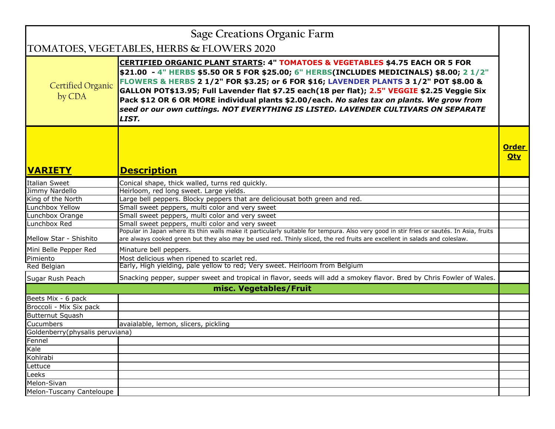|                                      | Sage Creations Organic Farm                                                                                                                                                                                                                                                                                                                                                                                                                                                                                                                                      |                            |
|--------------------------------------|------------------------------------------------------------------------------------------------------------------------------------------------------------------------------------------------------------------------------------------------------------------------------------------------------------------------------------------------------------------------------------------------------------------------------------------------------------------------------------------------------------------------------------------------------------------|----------------------------|
|                                      | TOMATOES, VEGETABLES, HERBS & FLOWERS 2020                                                                                                                                                                                                                                                                                                                                                                                                                                                                                                                       |                            |
| <b>Certified Organic</b><br>by CDA   | CERTIFIED ORGANIC PLANT STARTS: 4" TOMATOES & VEGETABLES \$4.75 EACH OR 5 FOR<br>\$21.00 - 4" HERBS \$5.50 OR 5 FOR \$25.00; 6" HERBS(INCLUDES MEDICINALS) \$8.00; 2 1/2"<br>FLOWERS & HERBS 2 1/2" FOR \$3.25; or 6 FOR \$16; LAVENDER PLANTS 3 1/2" POT \$8.00 &<br>GALLON POT\$13.95; Full Lavender flat \$7.25 each(18 per flat); 2.5" VEGGIE \$2.25 Veggie Six<br>Pack \$12 OR 6 OR MORE individual plants \$2.00/each. No sales tax on plants. We grow from<br>seed or our own cuttings. NOT EVERYTHING IS LISTED. LAVENDER CULTIVARS ON SEPARATE<br>LIST. |                            |
| <b>VARIETY</b>                       | <b>Description</b>                                                                                                                                                                                                                                                                                                                                                                                                                                                                                                                                               | <b>Order</b><br><b>Qty</b> |
|                                      |                                                                                                                                                                                                                                                                                                                                                                                                                                                                                                                                                                  |                            |
| <b>Italian Sweet</b>                 | Conical shape, thick walled, turns red quickly.                                                                                                                                                                                                                                                                                                                                                                                                                                                                                                                  |                            |
| Jimmy Nardello                       | Heirloom, red long sweet. Large yields.                                                                                                                                                                                                                                                                                                                                                                                                                                                                                                                          |                            |
| King of the North<br>Lunchbox Yellow | Large bell peppers. Blocky peppers that are deliciousat both green and red.                                                                                                                                                                                                                                                                                                                                                                                                                                                                                      |                            |
| Lunchbox Orange                      | Small sweet peppers, multi color and very sweet<br>Small sweet peppers, multi color and very sweet                                                                                                                                                                                                                                                                                                                                                                                                                                                               |                            |
| Lunchbox Red                         | Small sweet peppers, multi color and very sweet                                                                                                                                                                                                                                                                                                                                                                                                                                                                                                                  |                            |
|                                      | Popular in Japan where its thin walls make it particularly suitable for tempura. Also very good in stir fries or sautés. In Asia, fruits                                                                                                                                                                                                                                                                                                                                                                                                                         |                            |
| Mellow Star - Shishito               | are always cooked green but they also may be used red. Thinly sliced, the red fruits are excellent in salads and coleslaw.                                                                                                                                                                                                                                                                                                                                                                                                                                       |                            |
| Mini Belle Pepper Red                | Minature bell peppers.                                                                                                                                                                                                                                                                                                                                                                                                                                                                                                                                           |                            |
| Pimiento                             | Most delicious when ripened to scarlet red.                                                                                                                                                                                                                                                                                                                                                                                                                                                                                                                      |                            |
| Red Belgian                          | Early, High yielding, pale yellow to red; Very sweet. Heirloom from Belgium                                                                                                                                                                                                                                                                                                                                                                                                                                                                                      |                            |
| Sugar Rush Peach                     | Snacking pepper, supper sweet and tropical in flavor, seeds will add a smokey flavor. Bred by Chris Fowler of Wales.                                                                                                                                                                                                                                                                                                                                                                                                                                             |                            |
|                                      | misc. Vegetables/Fruit                                                                                                                                                                                                                                                                                                                                                                                                                                                                                                                                           |                            |
| Beets Mix - 6 pack                   |                                                                                                                                                                                                                                                                                                                                                                                                                                                                                                                                                                  |                            |
| Broccoli - Mix Six pack              |                                                                                                                                                                                                                                                                                                                                                                                                                                                                                                                                                                  |                            |
| Butternut Squash                     |                                                                                                                                                                                                                                                                                                                                                                                                                                                                                                                                                                  |                            |
| <b>Cucumbers</b>                     | avaialable, lemon, slicers, pickling                                                                                                                                                                                                                                                                                                                                                                                                                                                                                                                             |                            |
| Goldenberry(physalis peruviana)      |                                                                                                                                                                                                                                                                                                                                                                                                                                                                                                                                                                  |                            |
| Fennel                               |                                                                                                                                                                                                                                                                                                                                                                                                                                                                                                                                                                  |                            |
| Kale                                 |                                                                                                                                                                                                                                                                                                                                                                                                                                                                                                                                                                  |                            |
| Kohlrabi                             |                                                                                                                                                                                                                                                                                                                                                                                                                                                                                                                                                                  |                            |
| Lettuce                              |                                                                                                                                                                                                                                                                                                                                                                                                                                                                                                                                                                  |                            |
| Leeks                                |                                                                                                                                                                                                                                                                                                                                                                                                                                                                                                                                                                  |                            |
| Melon-Sivan                          |                                                                                                                                                                                                                                                                                                                                                                                                                                                                                                                                                                  |                            |
| Melon-Tuscany Canteloupe             |                                                                                                                                                                                                                                                                                                                                                                                                                                                                                                                                                                  |                            |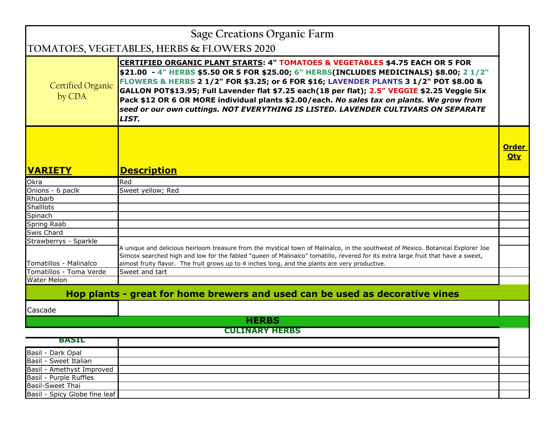| Sage Creations Organic Farm                        |                                                                                                                                                                                                                                                                                                                                                                                                                                                                                                                                                                             |                            |
|----------------------------------------------------|-----------------------------------------------------------------------------------------------------------------------------------------------------------------------------------------------------------------------------------------------------------------------------------------------------------------------------------------------------------------------------------------------------------------------------------------------------------------------------------------------------------------------------------------------------------------------------|----------------------------|
|                                                    | TOMATOES, VEGETABLES, HERBS & FLOWERS 2020                                                                                                                                                                                                                                                                                                                                                                                                                                                                                                                                  |                            |
| <b>Certified Organic</b><br>by CDA                 | <b>CERTIFIED ORGANIC PLANT STARTS: 4" TOMATOES &amp; VEGETABLES \$4.75 EACH OR 5 FOR</b><br>\$21.00 - 4" HERBS \$5.50 OR 5 FOR \$25.00; 6" HERBS(INCLUDES MEDICINALS) \$8.00; 2 1/2"<br>FLOWERS & HERBS 2 1/2" FOR \$3.25; or 6 FOR \$16; LAVENDER PLANTS 3 1/2" POT \$8.00 &<br>GALLON POT\$13.95; Full Lavender flat \$7.25 each(18 per flat); 2.5" VEGGIE \$2.25 Veggie Six<br>Pack \$12 OR 6 OR MORE individual plants \$2.00/each. No sales tax on plants. We grow from<br>seed or our own cuttings. NOT EVERYTHING IS LISTED. LAVENDER CULTIVARS ON SEPARATE<br>LIST. |                            |
| <b>VARIETY</b>                                     | <b>Description</b>                                                                                                                                                                                                                                                                                                                                                                                                                                                                                                                                                          | <b>Order</b><br><b>Oty</b> |
| Okra                                               | Red                                                                                                                                                                                                                                                                                                                                                                                                                                                                                                                                                                         |                            |
| Onions - 6 paclk                                   | Sweet yellow; Red                                                                                                                                                                                                                                                                                                                                                                                                                                                                                                                                                           |                            |
| Rhubarb                                            |                                                                                                                                                                                                                                                                                                                                                                                                                                                                                                                                                                             |                            |
| <b>Shalllots</b>                                   |                                                                                                                                                                                                                                                                                                                                                                                                                                                                                                                                                                             |                            |
| Spinach                                            |                                                                                                                                                                                                                                                                                                                                                                                                                                                                                                                                                                             |                            |
| <b>Spring Raab</b>                                 |                                                                                                                                                                                                                                                                                                                                                                                                                                                                                                                                                                             |                            |
| Swis Chard                                         |                                                                                                                                                                                                                                                                                                                                                                                                                                                                                                                                                                             |                            |
| Strawberrys - Sparkle                              |                                                                                                                                                                                                                                                                                                                                                                                                                                                                                                                                                                             |                            |
| Tomatillos - Malinalco                             | A unique and delicious heirloom treasure from the mystical town of Malinalco, in the southwest of Mexico. Botanical Explorer Joe<br>Simcox searched high and low for the fabled "queen of Malinalco" tomatillo, revered for its extra large fruit that have a sweet,<br>almost fruity flavor. The fruit grows up to 4 inches long, and the plants are very productive.                                                                                                                                                                                                      |                            |
| Tomatillos - Toma Verde                            | Sweet and tart                                                                                                                                                                                                                                                                                                                                                                                                                                                                                                                                                              |                            |
| <b>Water Melon</b>                                 |                                                                                                                                                                                                                                                                                                                                                                                                                                                                                                                                                                             |                            |
|                                                    | Hop plants - great for home brewers and used can be used as decorative vines                                                                                                                                                                                                                                                                                                                                                                                                                                                                                                |                            |
| Cascade                                            |                                                                                                                                                                                                                                                                                                                                                                                                                                                                                                                                                                             |                            |
|                                                    | <b>HERBS</b>                                                                                                                                                                                                                                                                                                                                                                                                                                                                                                                                                                |                            |
|                                                    | <b>CULINARY HERBS</b>                                                                                                                                                                                                                                                                                                                                                                                                                                                                                                                                                       |                            |
| <b>BASIL</b><br>Basil - Dark Opal                  |                                                                                                                                                                                                                                                                                                                                                                                                                                                                                                                                                                             |                            |
|                                                    |                                                                                                                                                                                                                                                                                                                                                                                                                                                                                                                                                                             |                            |
| Basil - Sweet Italian<br>Basil - Amethyst Improved |                                                                                                                                                                                                                                                                                                                                                                                                                                                                                                                                                                             |                            |
| Basil - Purple Ruffles                             |                                                                                                                                                                                                                                                                                                                                                                                                                                                                                                                                                                             |                            |
| <b>Basil-Sweet Thai</b>                            |                                                                                                                                                                                                                                                                                                                                                                                                                                                                                                                                                                             |                            |
| Basil - Spicy Globe fine leaf                      |                                                                                                                                                                                                                                                                                                                                                                                                                                                                                                                                                                             |                            |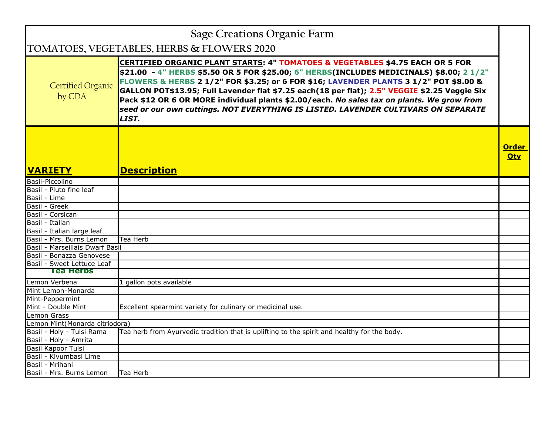|                                 | <b>Sage Creations Organic Farm</b>                                                                                                                                                                                                                                                                                                                                                                                                                                                                                                                                          |                            |
|---------------------------------|-----------------------------------------------------------------------------------------------------------------------------------------------------------------------------------------------------------------------------------------------------------------------------------------------------------------------------------------------------------------------------------------------------------------------------------------------------------------------------------------------------------------------------------------------------------------------------|----------------------------|
|                                 | TOMATOES, VEGETABLES, HERBS & FLOWERS 2020                                                                                                                                                                                                                                                                                                                                                                                                                                                                                                                                  |                            |
| Certified Organic<br>by CDA     | <b>CERTIFIED ORGANIC PLANT STARTS: 4" TOMATOES &amp; VEGETABLES \$4.75 EACH OR 5 FOR</b><br>\$21.00 - 4" HERBS \$5.50 OR 5 FOR \$25.00; 6" HERBS(INCLUDES MEDICINALS) \$8.00; 2 1/2"<br>FLOWERS & HERBS 2 1/2" FOR \$3.25; or 6 FOR \$16; LAVENDER PLANTS 3 1/2" POT \$8.00 &<br>GALLON POT\$13.95; Full Lavender flat \$7.25 each(18 per flat); 2.5" VEGGIE \$2.25 Veggie Six<br>Pack \$12 OR 6 OR MORE individual plants \$2.00/each. No sales tax on plants. We grow from<br>seed or our own cuttings. NOT EVERYTHING IS LISTED. LAVENDER CULTIVARS ON SEPARATE<br>LIST. |                            |
| <b>VARIETY</b>                  | <b>Description</b>                                                                                                                                                                                                                                                                                                                                                                                                                                                                                                                                                          | <b>Order</b><br><b>Qty</b> |
| Basil-Piccolino                 |                                                                                                                                                                                                                                                                                                                                                                                                                                                                                                                                                                             |                            |
| Basil - Pluto fine leaf         |                                                                                                                                                                                                                                                                                                                                                                                                                                                                                                                                                                             |                            |
| Basil - Lime                    |                                                                                                                                                                                                                                                                                                                                                                                                                                                                                                                                                                             |                            |
| Basil - Greek                   |                                                                                                                                                                                                                                                                                                                                                                                                                                                                                                                                                                             |                            |
| Basil - Corsican                |                                                                                                                                                                                                                                                                                                                                                                                                                                                                                                                                                                             |                            |
| Basil - Italian                 |                                                                                                                                                                                                                                                                                                                                                                                                                                                                                                                                                                             |                            |
| Basil - Italian large leaf      |                                                                                                                                                                                                                                                                                                                                                                                                                                                                                                                                                                             |                            |
| Basil - Mrs. Burns Lemon        | Tea Herb                                                                                                                                                                                                                                                                                                                                                                                                                                                                                                                                                                    |                            |
| Basil - Marseillais Dwarf Basil |                                                                                                                                                                                                                                                                                                                                                                                                                                                                                                                                                                             |                            |
| Basil - Bonazza Genovese        |                                                                                                                                                                                                                                                                                                                                                                                                                                                                                                                                                                             |                            |
| Basil - Sweet Lettuce Leaf      |                                                                                                                                                                                                                                                                                                                                                                                                                                                                                                                                                                             |                            |
| Tea Herbs                       |                                                                                                                                                                                                                                                                                                                                                                                                                                                                                                                                                                             |                            |
| Lemon Verbena                   | 1 gallon pots available                                                                                                                                                                                                                                                                                                                                                                                                                                                                                                                                                     |                            |
| Mint Lemon-Monarda              |                                                                                                                                                                                                                                                                                                                                                                                                                                                                                                                                                                             |                            |
| Mint-Peppermint                 |                                                                                                                                                                                                                                                                                                                                                                                                                                                                                                                                                                             |                            |
| Mint - Double Mint              | Excellent spearmint variety for culinary or medicinal use.                                                                                                                                                                                                                                                                                                                                                                                                                                                                                                                  |                            |
| Lemon Grass                     |                                                                                                                                                                                                                                                                                                                                                                                                                                                                                                                                                                             |                            |
| Lemon Mint(Monarda citriodora)  |                                                                                                                                                                                                                                                                                                                                                                                                                                                                                                                                                                             |                            |
| Basil - Holy - Tulsi Rama       | Tea herb from Ayurvedic tradition that is uplifting to the spirit and healthy for the body.                                                                                                                                                                                                                                                                                                                                                                                                                                                                                 |                            |
| Basil - Holy - Amrita           |                                                                                                                                                                                                                                                                                                                                                                                                                                                                                                                                                                             |                            |
| <b>Basil Kapoor Tulsi</b>       |                                                                                                                                                                                                                                                                                                                                                                                                                                                                                                                                                                             |                            |
| Basil - Kivumbasi Lime          |                                                                                                                                                                                                                                                                                                                                                                                                                                                                                                                                                                             |                            |
| Basil - Mrihani                 |                                                                                                                                                                                                                                                                                                                                                                                                                                                                                                                                                                             |                            |
| Basil - Mrs. Burns Lemon        | Tea Herb                                                                                                                                                                                                                                                                                                                                                                                                                                                                                                                                                                    |                            |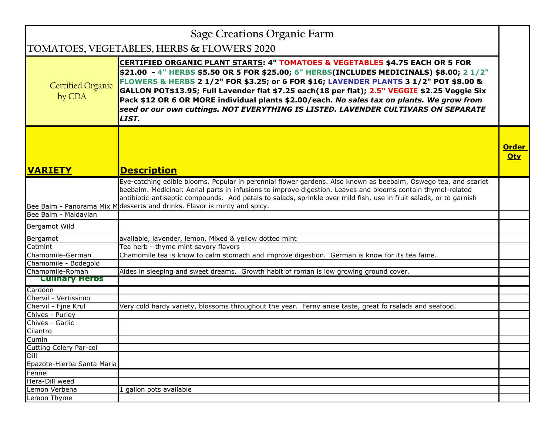| Sage Creations Organic Farm                |                                                                                                                                                                                                                                                                                                                                                                                                                                                                                                                                                                             |                            |
|--------------------------------------------|-----------------------------------------------------------------------------------------------------------------------------------------------------------------------------------------------------------------------------------------------------------------------------------------------------------------------------------------------------------------------------------------------------------------------------------------------------------------------------------------------------------------------------------------------------------------------------|----------------------------|
| TOMATOES, VEGETABLES, HERBS & FLOWERS 2020 |                                                                                                                                                                                                                                                                                                                                                                                                                                                                                                                                                                             |                            |
| <b>Certified Organic</b><br>by CDA         | <b>CERTIFIED ORGANIC PLANT STARTS: 4" TOMATOES &amp; VEGETABLES \$4.75 EACH OR 5 FOR</b><br>\$21.00 - 4" HERBS \$5.50 OR 5 FOR \$25.00; 6" HERBS(INCLUDES MEDICINALS) \$8.00; 2 1/2"<br>FLOWERS & HERBS 2 1/2" FOR \$3.25; or 6 FOR \$16; LAVENDER PLANTS 3 1/2" POT \$8.00 &<br>GALLON POT\$13.95; Full Lavender flat \$7.25 each(18 per flat); 2.5" VEGGIE \$2.25 Veggie Six<br>Pack \$12 OR 6 OR MORE individual plants \$2.00/each. No sales tax on plants. We grow from<br>seed or our own cuttings. NOT EVERYTHING IS LISTED. LAVENDER CULTIVARS ON SEPARATE<br>LIST. |                            |
| <b>VARIETY</b>                             | <b>Description</b>                                                                                                                                                                                                                                                                                                                                                                                                                                                                                                                                                          | <b>Order</b><br><b>Qty</b> |
|                                            | Eye-catching edible blooms. Popular in perennial flower gardens. Also known as beebalm, Oswego tea, and scarlet<br>beebalm. Medicinal: Aerial parts in infusions to improve digestion. Leaves and blooms contain thymol-related<br>antibiotic-antiseptic compounds. Add petals to salads, sprinkle over mild fish, use in fruit salads, or to garnish<br>Bee Balm - Panorama Mix M desserts and drinks. Flavor is minty and spicy.                                                                                                                                          |                            |
| Bee Balm - Maldavian                       |                                                                                                                                                                                                                                                                                                                                                                                                                                                                                                                                                                             |                            |
| Bergamot Wild                              |                                                                                                                                                                                                                                                                                                                                                                                                                                                                                                                                                                             |                            |
| Bergamot                                   | available, lavender, lemon, Mixed & yellow dotted mint                                                                                                                                                                                                                                                                                                                                                                                                                                                                                                                      |                            |
| Catmint                                    | Tea herb - thyme mint savory flavors                                                                                                                                                                                                                                                                                                                                                                                                                                                                                                                                        |                            |
| Chamomile-German                           | Chamomile tea is know to calm stomach and improve digestion. German is know for its tea fame.                                                                                                                                                                                                                                                                                                                                                                                                                                                                               |                            |
| Chamomile - Bodegold                       |                                                                                                                                                                                                                                                                                                                                                                                                                                                                                                                                                                             |                            |
| Chamomile-Roman                            | Aides in sleeping and sweet dreams. Growth habit of roman is low growing ground cover.                                                                                                                                                                                                                                                                                                                                                                                                                                                                                      |                            |
| <b>Cullhary Herbs</b>                      |                                                                                                                                                                                                                                                                                                                                                                                                                                                                                                                                                                             |                            |
| Cardoon                                    |                                                                                                                                                                                                                                                                                                                                                                                                                                                                                                                                                                             |                            |
| Chervil - Vertissimo                       |                                                                                                                                                                                                                                                                                                                                                                                                                                                                                                                                                                             |                            |
| Chervil - Fine Krul                        | Very cold hardy variety, blossoms throughout the year. Ferny anise taste, great fo rsalads and seafood.                                                                                                                                                                                                                                                                                                                                                                                                                                                                     |                            |
| Chives - Purley                            |                                                                                                                                                                                                                                                                                                                                                                                                                                                                                                                                                                             |                            |
| Chives - Garlic                            |                                                                                                                                                                                                                                                                                                                                                                                                                                                                                                                                                                             |                            |
| Cilantro                                   |                                                                                                                                                                                                                                                                                                                                                                                                                                                                                                                                                                             |                            |
| Cumin                                      |                                                                                                                                                                                                                                                                                                                                                                                                                                                                                                                                                                             |                            |
| Cutting Celery Par-cel<br>Dill             |                                                                                                                                                                                                                                                                                                                                                                                                                                                                                                                                                                             |                            |
| Epazote-Hierba Santa Maria                 |                                                                                                                                                                                                                                                                                                                                                                                                                                                                                                                                                                             |                            |
| Fennel                                     |                                                                                                                                                                                                                                                                                                                                                                                                                                                                                                                                                                             |                            |
| Hera-Dill weed                             |                                                                                                                                                                                                                                                                                                                                                                                                                                                                                                                                                                             |                            |
| Lemon Verbena                              | 1 gallon pots available                                                                                                                                                                                                                                                                                                                                                                                                                                                                                                                                                     |                            |
| Lemon Thyme                                |                                                                                                                                                                                                                                                                                                                                                                                                                                                                                                                                                                             |                            |
|                                            |                                                                                                                                                                                                                                                                                                                                                                                                                                                                                                                                                                             |                            |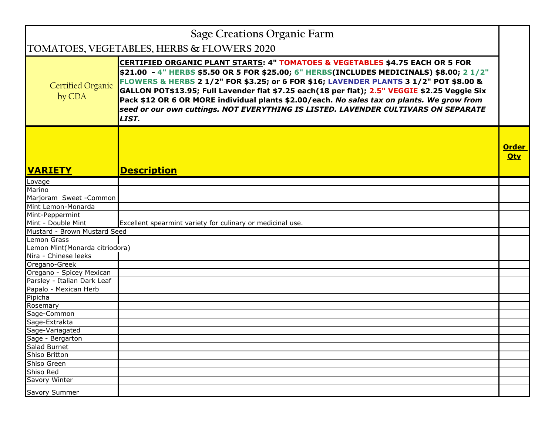| <b>Sage Creations Organic Farm</b>         |                                                                                                                                                                                                                                                                                                                                                                                                                                                                                                                                                                             |                            |
|--------------------------------------------|-----------------------------------------------------------------------------------------------------------------------------------------------------------------------------------------------------------------------------------------------------------------------------------------------------------------------------------------------------------------------------------------------------------------------------------------------------------------------------------------------------------------------------------------------------------------------------|----------------------------|
| TOMATOES, VEGETABLES, HERBS & FLOWERS 2020 |                                                                                                                                                                                                                                                                                                                                                                                                                                                                                                                                                                             |                            |
| <b>Certified Organic</b><br>by CDA         | <b>CERTIFIED ORGANIC PLANT STARTS: 4" TOMATOES &amp; VEGETABLES \$4.75 EACH OR 5 FOR</b><br>\$21.00 - 4" HERBS \$5.50 OR 5 FOR \$25.00; 6" HERBS(INCLUDES MEDICINALS) \$8.00; 2 1/2"<br>FLOWERS & HERBS 2 1/2" FOR \$3.25; or 6 FOR \$16; LAVENDER PLANTS 3 1/2" POT \$8.00 &<br>GALLON POT\$13.95; Full Lavender flat \$7.25 each(18 per flat); 2.5" VEGGIE \$2.25 Veggie Six<br>Pack \$12 OR 6 OR MORE individual plants \$2.00/each. No sales tax on plants. We grow from<br>seed or our own cuttings. NOT EVERYTHING IS LISTED. LAVENDER CULTIVARS ON SEPARATE<br>LIST. |                            |
| <b>VARIETY</b>                             | <b>Description</b>                                                                                                                                                                                                                                                                                                                                                                                                                                                                                                                                                          | <b>Order</b><br><b>Qty</b> |
| Lovage                                     |                                                                                                                                                                                                                                                                                                                                                                                                                                                                                                                                                                             |                            |
| Marino                                     |                                                                                                                                                                                                                                                                                                                                                                                                                                                                                                                                                                             |                            |
| Marjoram Sweet - Common                    |                                                                                                                                                                                                                                                                                                                                                                                                                                                                                                                                                                             |                            |
| Mint Lemon-Monarda                         |                                                                                                                                                                                                                                                                                                                                                                                                                                                                                                                                                                             |                            |
| Mint-Peppermint                            |                                                                                                                                                                                                                                                                                                                                                                                                                                                                                                                                                                             |                            |
| Mint - Double Mint                         | Excellent spearmint variety for culinary or medicinal use.                                                                                                                                                                                                                                                                                                                                                                                                                                                                                                                  |                            |
| Mustard - Brown Mustard Seed               |                                                                                                                                                                                                                                                                                                                                                                                                                                                                                                                                                                             |                            |
| Lemon Grass                                |                                                                                                                                                                                                                                                                                                                                                                                                                                                                                                                                                                             |                            |
| Lemon Mint(Monarda citriodora)             |                                                                                                                                                                                                                                                                                                                                                                                                                                                                                                                                                                             |                            |
| Nira - Chinese leeks                       |                                                                                                                                                                                                                                                                                                                                                                                                                                                                                                                                                                             |                            |
| Oregano-Greek                              |                                                                                                                                                                                                                                                                                                                                                                                                                                                                                                                                                                             |                            |
| Oregano - Spicey Mexican                   |                                                                                                                                                                                                                                                                                                                                                                                                                                                                                                                                                                             |                            |
| Parsley - Italian Dark Leaf                |                                                                                                                                                                                                                                                                                                                                                                                                                                                                                                                                                                             |                            |
| Papalo - Mexican Herb                      |                                                                                                                                                                                                                                                                                                                                                                                                                                                                                                                                                                             |                            |
| Pipicha                                    |                                                                                                                                                                                                                                                                                                                                                                                                                                                                                                                                                                             |                            |
| Rosemary                                   |                                                                                                                                                                                                                                                                                                                                                                                                                                                                                                                                                                             |                            |
| Sage-Common                                |                                                                                                                                                                                                                                                                                                                                                                                                                                                                                                                                                                             |                            |
| Sage-Extrakta                              |                                                                                                                                                                                                                                                                                                                                                                                                                                                                                                                                                                             |                            |
| Sage-Variagated                            |                                                                                                                                                                                                                                                                                                                                                                                                                                                                                                                                                                             |                            |
| Sage - Bergarton                           |                                                                                                                                                                                                                                                                                                                                                                                                                                                                                                                                                                             |                            |
| Salad Burnet                               |                                                                                                                                                                                                                                                                                                                                                                                                                                                                                                                                                                             |                            |
| <b>Shiso Britton</b>                       |                                                                                                                                                                                                                                                                                                                                                                                                                                                                                                                                                                             |                            |
| Shiso Green                                |                                                                                                                                                                                                                                                                                                                                                                                                                                                                                                                                                                             |                            |
| Shiso Red                                  |                                                                                                                                                                                                                                                                                                                                                                                                                                                                                                                                                                             |                            |
| Savory Winter                              |                                                                                                                                                                                                                                                                                                                                                                                                                                                                                                                                                                             |                            |
| Savory Summer                              |                                                                                                                                                                                                                                                                                                                                                                                                                                                                                                                                                                             |                            |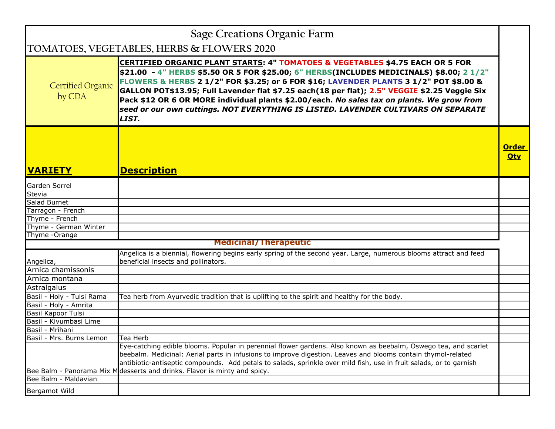|                                    | <b>Sage Creations Organic Farm</b>                                                                                                                                                                                                                                                                                                                                                                                                                                                                                                                                          |                            |
|------------------------------------|-----------------------------------------------------------------------------------------------------------------------------------------------------------------------------------------------------------------------------------------------------------------------------------------------------------------------------------------------------------------------------------------------------------------------------------------------------------------------------------------------------------------------------------------------------------------------------|----------------------------|
|                                    | TOMATOES, VEGETABLES, HERBS & FLOWERS 2020                                                                                                                                                                                                                                                                                                                                                                                                                                                                                                                                  |                            |
| <b>Certified Organic</b><br>by CDA | <b>CERTIFIED ORGANIC PLANT STARTS: 4" TOMATOES &amp; VEGETABLES \$4.75 EACH OR 5 FOR</b><br>\$21.00 - 4" HERBS \$5.50 OR 5 FOR \$25.00; 6" HERBS(INCLUDES MEDICINALS) \$8.00; 2 1/2"<br>FLOWERS & HERBS 2 1/2" FOR \$3.25; or 6 FOR \$16; LAVENDER PLANTS 3 1/2" POT \$8.00 &<br>GALLON POT\$13.95; Full Lavender flat \$7.25 each(18 per flat); 2.5" VEGGIE \$2.25 Veggie Six<br>Pack \$12 OR 6 OR MORE individual plants \$2.00/each. No sales tax on plants. We grow from<br>seed or our own cuttings. NOT EVERYTHING IS LISTED. LAVENDER CULTIVARS ON SEPARATE<br>LIST. |                            |
|                                    |                                                                                                                                                                                                                                                                                                                                                                                                                                                                                                                                                                             | <b>Order</b><br><b>Qty</b> |
| <b>VARIETY</b>                     | <b>Description</b>                                                                                                                                                                                                                                                                                                                                                                                                                                                                                                                                                          |                            |
| Garden Sorrel                      |                                                                                                                                                                                                                                                                                                                                                                                                                                                                                                                                                                             |                            |
| Stevia                             |                                                                                                                                                                                                                                                                                                                                                                                                                                                                                                                                                                             |                            |
| Salad Burnet                       |                                                                                                                                                                                                                                                                                                                                                                                                                                                                                                                                                                             |                            |
| Tarragon - French                  |                                                                                                                                                                                                                                                                                                                                                                                                                                                                                                                                                                             |                            |
| Thyme - French                     |                                                                                                                                                                                                                                                                                                                                                                                                                                                                                                                                                                             |                            |
| Thyme - German Winter              |                                                                                                                                                                                                                                                                                                                                                                                                                                                                                                                                                                             |                            |
| Thyme - Orange                     |                                                                                                                                                                                                                                                                                                                                                                                                                                                                                                                                                                             |                            |
|                                    | <b>Medicinal/Therapeutic</b>                                                                                                                                                                                                                                                                                                                                                                                                                                                                                                                                                |                            |
| Angelica,                          | Angelica is a biennial, flowering begins early spring of the second year. Large, numerous blooms attract and feed<br>beneficial insects and pollinators.                                                                                                                                                                                                                                                                                                                                                                                                                    |                            |
| Arnica chamissonis                 |                                                                                                                                                                                                                                                                                                                                                                                                                                                                                                                                                                             |                            |
| Arnica montana                     |                                                                                                                                                                                                                                                                                                                                                                                                                                                                                                                                                                             |                            |
| Astralgalus                        |                                                                                                                                                                                                                                                                                                                                                                                                                                                                                                                                                                             |                            |
| Basil - Holy - Tulsi Rama          | Tea herb from Ayurvedic tradition that is uplifting to the spirit and healthy for the body.                                                                                                                                                                                                                                                                                                                                                                                                                                                                                 |                            |
| Basil - Holy - Amrita              |                                                                                                                                                                                                                                                                                                                                                                                                                                                                                                                                                                             |                            |
| Basil Kapoor Tulsi                 |                                                                                                                                                                                                                                                                                                                                                                                                                                                                                                                                                                             |                            |
| Basil - Kivumbasi Lime             |                                                                                                                                                                                                                                                                                                                                                                                                                                                                                                                                                                             |                            |
| Basil - Mrihani                    |                                                                                                                                                                                                                                                                                                                                                                                                                                                                                                                                                                             |                            |
| Basil - Mrs. Burns Lemon           | ∣Tea Herb                                                                                                                                                                                                                                                                                                                                                                                                                                                                                                                                                                   |                            |
|                                    | Eye-catching edible blooms. Popular in perennial flower gardens. Also known as beebalm, Oswego tea, and scarlet<br>beebalm. Medicinal: Aerial parts in infusions to improve digestion. Leaves and blooms contain thymol-related<br>antibiotic-antiseptic compounds. Add petals to salads, sprinkle over mild fish, use in fruit salads, or to garnish<br>Bee Balm - Panorama Mix M desserts and drinks. Flavor is minty and spicy.                                                                                                                                          |                            |
| Bee Balm - Maldavian               |                                                                                                                                                                                                                                                                                                                                                                                                                                                                                                                                                                             |                            |
| Bergamot Wild                      |                                                                                                                                                                                                                                                                                                                                                                                                                                                                                                                                                                             |                            |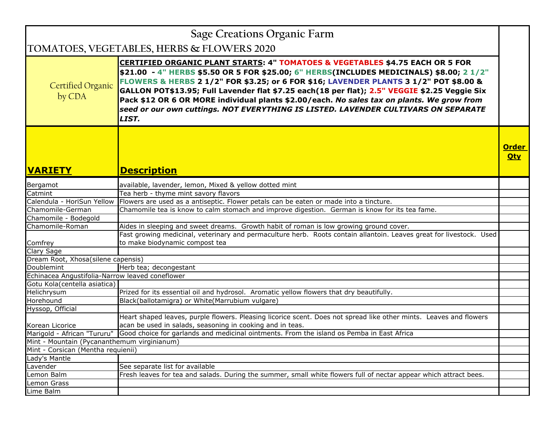| Sage Creations Organic Farm                     |                                                                                                                                                                                                                                                                                                                                                                                                                                                                                                                                                                             |                            |
|-------------------------------------------------|-----------------------------------------------------------------------------------------------------------------------------------------------------------------------------------------------------------------------------------------------------------------------------------------------------------------------------------------------------------------------------------------------------------------------------------------------------------------------------------------------------------------------------------------------------------------------------|----------------------------|
| TOMATOES, VEGETABLES, HERBS & FLOWERS 2020      |                                                                                                                                                                                                                                                                                                                                                                                                                                                                                                                                                                             |                            |
| <b>Certified Organic</b><br>by CDA              | <b>CERTIFIED ORGANIC PLANT STARTS: 4" TOMATOES &amp; VEGETABLES \$4.75 EACH OR 5 FOR</b><br>\$21.00 - 4" HERBS \$5.50 OR 5 FOR \$25.00; 6" HERBS(INCLUDES MEDICINALS) \$8.00; 2 1/2"<br>FLOWERS & HERBS 2 1/2" FOR \$3.25; or 6 FOR \$16; LAVENDER PLANTS 3 1/2" POT \$8.00 &<br>GALLON POT\$13.95; Full Lavender flat \$7.25 each(18 per flat); 2.5" VEGGIE \$2.25 Veggie Six<br>Pack \$12 OR 6 OR MORE individual plants \$2.00/each. No sales tax on plants. We grow from<br>seed or our own cuttings. NOT EVERYTHING IS LISTED. LAVENDER CULTIVARS ON SEPARATE<br>LIST. |                            |
| <b>VARIETY</b>                                  | <b>Description</b>                                                                                                                                                                                                                                                                                                                                                                                                                                                                                                                                                          | <b>Order</b><br><b>Qty</b> |
| Bergamot                                        | available, lavender, lemon, Mixed & yellow dotted mint                                                                                                                                                                                                                                                                                                                                                                                                                                                                                                                      |                            |
| Catmint                                         | Tea herb - thyme mint savory flavors                                                                                                                                                                                                                                                                                                                                                                                                                                                                                                                                        |                            |
|                                                 | Calendula - HoriSun Yellow Flowers are used as a antiseptic. Flower petals can be eaten or made into a tincture.                                                                                                                                                                                                                                                                                                                                                                                                                                                            |                            |
| Chamomile-German                                | Chamomile tea is know to calm stomach and improve digestion. German is know for its tea fame.                                                                                                                                                                                                                                                                                                                                                                                                                                                                               |                            |
| Chamomile - Bodegold                            |                                                                                                                                                                                                                                                                                                                                                                                                                                                                                                                                                                             |                            |
| Chamomile-Roman                                 | Aides in sleeping and sweet dreams. Growth habit of roman is low growing ground cover.                                                                                                                                                                                                                                                                                                                                                                                                                                                                                      |                            |
| Comfrey                                         | Fast growing medicinal, veterinary and permaculture herb. Roots contain allantoin. Leaves great for livestock. Used<br>to make biodynamic compost tea                                                                                                                                                                                                                                                                                                                                                                                                                       |                            |
| Clary Sage                                      |                                                                                                                                                                                                                                                                                                                                                                                                                                                                                                                                                                             |                            |
| Dream Root, Xhosa(silene capensis)              |                                                                                                                                                                                                                                                                                                                                                                                                                                                                                                                                                                             |                            |
| Doublemint                                      | Herb tea; decongestant                                                                                                                                                                                                                                                                                                                                                                                                                                                                                                                                                      |                            |
| Echinacea Angustifolia-Narrow leaved coneflower |                                                                                                                                                                                                                                                                                                                                                                                                                                                                                                                                                                             |                            |
| Gotu Kola(centella asiatica)                    |                                                                                                                                                                                                                                                                                                                                                                                                                                                                                                                                                                             |                            |
| Helichrysum                                     | Prized for its essential oil and hydrosol. Aromatic yellow flowers that dry beautifully.                                                                                                                                                                                                                                                                                                                                                                                                                                                                                    |                            |
| Horehound                                       | Black(ballotamigra) or White(Marrubium vulgare)                                                                                                                                                                                                                                                                                                                                                                                                                                                                                                                             |                            |
| Hyssop, Official                                |                                                                                                                                                                                                                                                                                                                                                                                                                                                                                                                                                                             |                            |
|                                                 | Heart shaped leaves, purple flowers. Pleasing licorice scent. Does not spread like other mints. Leaves and flowers                                                                                                                                                                                                                                                                                                                                                                                                                                                          |                            |
| Korean Licorice                                 | acan be used in salads, seasoning in cooking and in teas.                                                                                                                                                                                                                                                                                                                                                                                                                                                                                                                   |                            |
| Marigold - African "Tururu"                     | Good choice for garlands and medicinal ointments. From the island os Pemba in East Africa                                                                                                                                                                                                                                                                                                                                                                                                                                                                                   |                            |
| Mint - Mountain (Pycananthemum virginianum)     |                                                                                                                                                                                                                                                                                                                                                                                                                                                                                                                                                                             |                            |
| Mint - Corsican (Mentha requienii)              |                                                                                                                                                                                                                                                                                                                                                                                                                                                                                                                                                                             |                            |
| Lady's Mantle                                   |                                                                                                                                                                                                                                                                                                                                                                                                                                                                                                                                                                             |                            |
| Lavender                                        | See separate list for available                                                                                                                                                                                                                                                                                                                                                                                                                                                                                                                                             |                            |
| Lemon Balm                                      | Fresh leaves for tea and salads. During the summer, small white flowers full of nectar appear which attract bees.                                                                                                                                                                                                                                                                                                                                                                                                                                                           |                            |
| Lemon Grass                                     |                                                                                                                                                                                                                                                                                                                                                                                                                                                                                                                                                                             |                            |
| Lime Balm                                       |                                                                                                                                                                                                                                                                                                                                                                                                                                                                                                                                                                             |                            |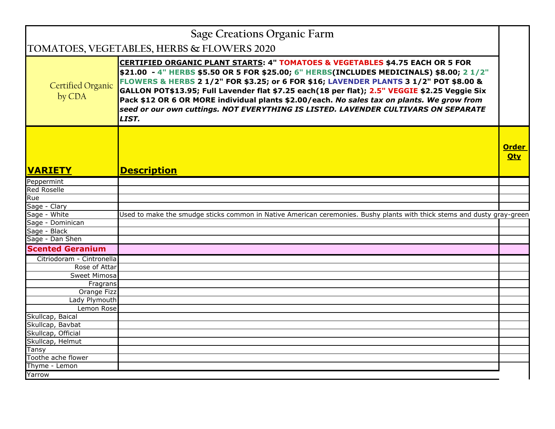|                             | <b>Sage Creations Organic Farm</b>                                                                                                                                                                                                                                                                                                                                                                                                                                                                                                                                          |                            |
|-----------------------------|-----------------------------------------------------------------------------------------------------------------------------------------------------------------------------------------------------------------------------------------------------------------------------------------------------------------------------------------------------------------------------------------------------------------------------------------------------------------------------------------------------------------------------------------------------------------------------|----------------------------|
|                             | TOMATOES, VEGETABLES, HERBS & FLOWERS 2020                                                                                                                                                                                                                                                                                                                                                                                                                                                                                                                                  |                            |
| Certified Organic<br>by CDA | <b>CERTIFIED ORGANIC PLANT STARTS: 4" TOMATOES &amp; VEGETABLES \$4.75 EACH OR 5 FOR</b><br>\$21.00 - 4" HERBS \$5.50 OR 5 FOR \$25.00; 6" HERBS(INCLUDES MEDICINALS) \$8.00; 2 1/2"<br>FLOWERS & HERBS 2 1/2" FOR \$3.25; or 6 FOR \$16; LAVENDER PLANTS 3 1/2" POT \$8.00 &<br>GALLON POT\$13.95; Full Lavender flat \$7.25 each(18 per flat); 2.5" VEGGIE \$2.25 Veggie Six<br>Pack \$12 OR 6 OR MORE individual plants \$2.00/each. No sales tax on plants. We grow from<br>seed or our own cuttings. NOT EVERYTHING IS LISTED. LAVENDER CULTIVARS ON SEPARATE<br>LIST. |                            |
| <b>VARIETY</b>              |                                                                                                                                                                                                                                                                                                                                                                                                                                                                                                                                                                             | <b>Order</b><br><b>Qty</b> |
|                             | <b>Description</b>                                                                                                                                                                                                                                                                                                                                                                                                                                                                                                                                                          |                            |
| Peppermint                  |                                                                                                                                                                                                                                                                                                                                                                                                                                                                                                                                                                             |                            |
| <b>Red Roselle</b><br>Rue   |                                                                                                                                                                                                                                                                                                                                                                                                                                                                                                                                                                             |                            |
| Sage - Clary                |                                                                                                                                                                                                                                                                                                                                                                                                                                                                                                                                                                             |                            |
| Sage - White                | Used to make the smudge sticks common in Native American ceremonies. Bushy plants with thick stems and dusty gray-green                                                                                                                                                                                                                                                                                                                                                                                                                                                     |                            |
| Sage - Dominican            |                                                                                                                                                                                                                                                                                                                                                                                                                                                                                                                                                                             |                            |
| Sage - Black                |                                                                                                                                                                                                                                                                                                                                                                                                                                                                                                                                                                             |                            |
| Sage - Dan Shen             |                                                                                                                                                                                                                                                                                                                                                                                                                                                                                                                                                                             |                            |
| <b>Scented Geranium</b>     |                                                                                                                                                                                                                                                                                                                                                                                                                                                                                                                                                                             |                            |
| Citriodoram - Cintronella   |                                                                                                                                                                                                                                                                                                                                                                                                                                                                                                                                                                             |                            |
| Rose of Attar               |                                                                                                                                                                                                                                                                                                                                                                                                                                                                                                                                                                             |                            |
| Sweet Mimosa                |                                                                                                                                                                                                                                                                                                                                                                                                                                                                                                                                                                             |                            |
| Fragrans                    |                                                                                                                                                                                                                                                                                                                                                                                                                                                                                                                                                                             |                            |
| Orange Fizz                 |                                                                                                                                                                                                                                                                                                                                                                                                                                                                                                                                                                             |                            |
| Lady Plymouth               |                                                                                                                                                                                                                                                                                                                                                                                                                                                                                                                                                                             |                            |
| Lemon Rose                  |                                                                                                                                                                                                                                                                                                                                                                                                                                                                                                                                                                             |                            |
| Skullcap, Baical            |                                                                                                                                                                                                                                                                                                                                                                                                                                                                                                                                                                             |                            |
| Skullcap, Bavbat            |                                                                                                                                                                                                                                                                                                                                                                                                                                                                                                                                                                             |                            |
| Skullcap, Official          |                                                                                                                                                                                                                                                                                                                                                                                                                                                                                                                                                                             |                            |
| Skullcap, Helmut            |                                                                                                                                                                                                                                                                                                                                                                                                                                                                                                                                                                             |                            |
| Tansy                       |                                                                                                                                                                                                                                                                                                                                                                                                                                                                                                                                                                             |                            |
| Toothe ache flower          |                                                                                                                                                                                                                                                                                                                                                                                                                                                                                                                                                                             |                            |
| Thyme - Lemon               |                                                                                                                                                                                                                                                                                                                                                                                                                                                                                                                                                                             |                            |
| Yarrow                      |                                                                                                                                                                                                                                                                                                                                                                                                                                                                                                                                                                             |                            |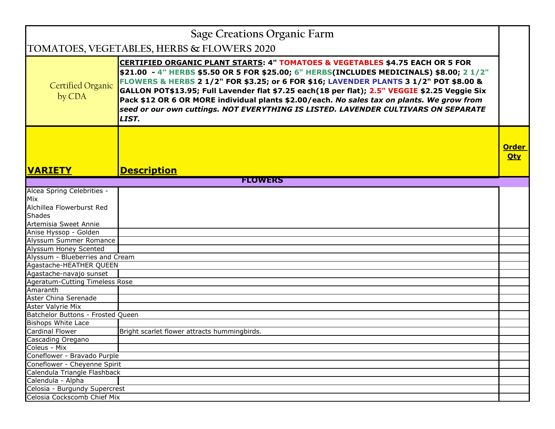| <b>Sage Creations Organic Farm</b>         |                                                                                                                                                                                                                                                                                                                                                                                                                                                                                                                                                                             |                            |
|--------------------------------------------|-----------------------------------------------------------------------------------------------------------------------------------------------------------------------------------------------------------------------------------------------------------------------------------------------------------------------------------------------------------------------------------------------------------------------------------------------------------------------------------------------------------------------------------------------------------------------------|----------------------------|
| TOMATOES, VEGETABLES, HERBS & FLOWERS 2020 |                                                                                                                                                                                                                                                                                                                                                                                                                                                                                                                                                                             |                            |
| <b>Certified Organic</b><br>by CDA         | <b>CERTIFIED ORGANIC PLANT STARTS: 4" TOMATOES &amp; VEGETABLES \$4.75 EACH OR 5 FOR</b><br>\$21.00 - 4" HERBS \$5.50 OR 5 FOR \$25.00; 6" HERBS(INCLUDES MEDICINALS) \$8.00; 2 1/2"<br>FLOWERS & HERBS 2 1/2" FOR \$3.25; or 6 FOR \$16; LAVENDER PLANTS 3 1/2" POT \$8.00 &<br>GALLON POT\$13.95; Full Lavender flat \$7.25 each(18 per flat); 2.5" VEGGIE \$2.25 Veggie Six<br>Pack \$12 OR 6 OR MORE individual plants \$2.00/each. No sales tax on plants. We grow from<br>seed or our own cuttings. NOT EVERYTHING IS LISTED. LAVENDER CULTIVARS ON SEPARATE<br>LIST. |                            |
| <b>IVARIETY</b>                            | <b>Description</b>                                                                                                                                                                                                                                                                                                                                                                                                                                                                                                                                                          | <b>Order</b><br><b>Qty</b> |
|                                            | <b>FLOWERS</b>                                                                                                                                                                                                                                                                                                                                                                                                                                                                                                                                                              |                            |
| Alcea Spring Celebrities -                 |                                                                                                                                                                                                                                                                                                                                                                                                                                                                                                                                                                             |                            |
| Mix                                        |                                                                                                                                                                                                                                                                                                                                                                                                                                                                                                                                                                             |                            |
| Alchillea Flowerburst Red                  |                                                                                                                                                                                                                                                                                                                                                                                                                                                                                                                                                                             |                            |
| <b>Shades</b>                              |                                                                                                                                                                                                                                                                                                                                                                                                                                                                                                                                                                             |                            |
| Artemisia Sweet Annie                      |                                                                                                                                                                                                                                                                                                                                                                                                                                                                                                                                                                             |                            |
| Anise Hyssop - Golden                      |                                                                                                                                                                                                                                                                                                                                                                                                                                                                                                                                                                             |                            |
| Alyssum Summer Romance                     |                                                                                                                                                                                                                                                                                                                                                                                                                                                                                                                                                                             |                            |
| Alyssum Honey Scented                      |                                                                                                                                                                                                                                                                                                                                                                                                                                                                                                                                                                             |                            |
| Alyssum - Blueberries and Cream            |                                                                                                                                                                                                                                                                                                                                                                                                                                                                                                                                                                             |                            |
| Agastache-HEATHER QUEEN                    |                                                                                                                                                                                                                                                                                                                                                                                                                                                                                                                                                                             |                            |
| Agastache-navajo sunset                    |                                                                                                                                                                                                                                                                                                                                                                                                                                                                                                                                                                             |                            |
| Ageratum-Cutting Timeless Rose             |                                                                                                                                                                                                                                                                                                                                                                                                                                                                                                                                                                             |                            |
| Amaranth                                   |                                                                                                                                                                                                                                                                                                                                                                                                                                                                                                                                                                             |                            |
| Aster China Serenade                       |                                                                                                                                                                                                                                                                                                                                                                                                                                                                                                                                                                             |                            |
| Aster Valyrie Mix                          |                                                                                                                                                                                                                                                                                                                                                                                                                                                                                                                                                                             |                            |
| Batchelor Buttons - Frosted Queen          |                                                                                                                                                                                                                                                                                                                                                                                                                                                                                                                                                                             |                            |
| <b>Bishops White Lace</b>                  |                                                                                                                                                                                                                                                                                                                                                                                                                                                                                                                                                                             |                            |
| <b>Cardinal Flower</b>                     | Bright scarlet flower attracts hummingbirds.                                                                                                                                                                                                                                                                                                                                                                                                                                                                                                                                |                            |
| Cascading Oregano                          |                                                                                                                                                                                                                                                                                                                                                                                                                                                                                                                                                                             |                            |
| Coleus - Mix                               |                                                                                                                                                                                                                                                                                                                                                                                                                                                                                                                                                                             |                            |
| Coneflower - Bravado Purple                |                                                                                                                                                                                                                                                                                                                                                                                                                                                                                                                                                                             |                            |
| Coneflower - Cheyenne Spirit               |                                                                                                                                                                                                                                                                                                                                                                                                                                                                                                                                                                             |                            |
| Calendula Triangle Flashback               |                                                                                                                                                                                                                                                                                                                                                                                                                                                                                                                                                                             |                            |
| Calendula - Alpha                          |                                                                                                                                                                                                                                                                                                                                                                                                                                                                                                                                                                             |                            |
| Celosia - Burgundy Supercrest              |                                                                                                                                                                                                                                                                                                                                                                                                                                                                                                                                                                             |                            |
| Celosia Cockscomb Chief Mix                |                                                                                                                                                                                                                                                                                                                                                                                                                                                                                                                                                                             |                            |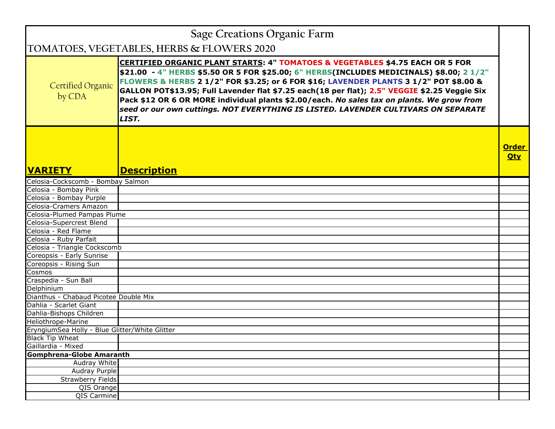| Sage Creations Organic Farm                    |                                                                                                                                                                                                                                                                                                                                                                                                                                                                                                                                                                             |                            |
|------------------------------------------------|-----------------------------------------------------------------------------------------------------------------------------------------------------------------------------------------------------------------------------------------------------------------------------------------------------------------------------------------------------------------------------------------------------------------------------------------------------------------------------------------------------------------------------------------------------------------------------|----------------------------|
| TOMATOES, VEGETABLES, HERBS & FLOWERS 2020     |                                                                                                                                                                                                                                                                                                                                                                                                                                                                                                                                                                             |                            |
| <b>Certified Organic</b><br>by CDA             | <b>CERTIFIED ORGANIC PLANT STARTS: 4" TOMATOES &amp; VEGETABLES \$4.75 EACH OR 5 FOR</b><br>\$21.00 - 4" HERBS \$5.50 OR 5 FOR \$25.00; 6" HERBS(INCLUDES MEDICINALS) \$8.00; 2 1/2"<br>FLOWERS & HERBS 2 1/2" FOR \$3.25; or 6 FOR \$16; LAVENDER PLANTS 3 1/2" POT \$8.00 &<br>GALLON POT\$13.95; Full Lavender flat \$7.25 each(18 per flat); 2.5" VEGGIE \$2.25 Veggie Six<br>Pack \$12 OR 6 OR MORE individual plants \$2.00/each. No sales tax on plants. We grow from<br>seed or our own cuttings. NOT EVERYTHING IS LISTED. LAVENDER CULTIVARS ON SEPARATE<br>LIST. |                            |
| <b>VARIETY</b>                                 | <b>Description</b>                                                                                                                                                                                                                                                                                                                                                                                                                                                                                                                                                          | <b>Order</b><br><b>Qty</b> |
| Celosia-Cockscomb - Bombay Salmon              |                                                                                                                                                                                                                                                                                                                                                                                                                                                                                                                                                                             |                            |
| Celosia - Bombay Pink                          |                                                                                                                                                                                                                                                                                                                                                                                                                                                                                                                                                                             |                            |
| Celosia - Bombay Purple                        |                                                                                                                                                                                                                                                                                                                                                                                                                                                                                                                                                                             |                            |
| Celosia-Cramers Amazon                         |                                                                                                                                                                                                                                                                                                                                                                                                                                                                                                                                                                             |                            |
| Celosia-Plumed Pampas Plume                    |                                                                                                                                                                                                                                                                                                                                                                                                                                                                                                                                                                             |                            |
| Celosia-Supercrest Blend                       |                                                                                                                                                                                                                                                                                                                                                                                                                                                                                                                                                                             |                            |
| Celosia - Red Flame                            |                                                                                                                                                                                                                                                                                                                                                                                                                                                                                                                                                                             |                            |
| Celosia - Ruby Parfait                         |                                                                                                                                                                                                                                                                                                                                                                                                                                                                                                                                                                             |                            |
| Celosia - Triangle Cockscomb                   |                                                                                                                                                                                                                                                                                                                                                                                                                                                                                                                                                                             |                            |
| Coreopsis - Early Sunrise                      |                                                                                                                                                                                                                                                                                                                                                                                                                                                                                                                                                                             |                            |
| Coreopsis - Rising Sun                         |                                                                                                                                                                                                                                                                                                                                                                                                                                                                                                                                                                             |                            |
| Cosmos                                         |                                                                                                                                                                                                                                                                                                                                                                                                                                                                                                                                                                             |                            |
| Craspedia - Sun Ball                           |                                                                                                                                                                                                                                                                                                                                                                                                                                                                                                                                                                             |                            |
| Delphinium                                     |                                                                                                                                                                                                                                                                                                                                                                                                                                                                                                                                                                             |                            |
| Dianthus - Chabaud Picotee Double Mix          |                                                                                                                                                                                                                                                                                                                                                                                                                                                                                                                                                                             |                            |
| Dahlia - Scarlet Giant                         |                                                                                                                                                                                                                                                                                                                                                                                                                                                                                                                                                                             |                            |
| Dahlia-Bishops Children                        |                                                                                                                                                                                                                                                                                                                                                                                                                                                                                                                                                                             |                            |
| Heliothrope-Marine                             |                                                                                                                                                                                                                                                                                                                                                                                                                                                                                                                                                                             |                            |
| EryngiumSea Holly - Blue Glitter/White Glitter |                                                                                                                                                                                                                                                                                                                                                                                                                                                                                                                                                                             |                            |
| <b>Black Tip Wheat</b>                         |                                                                                                                                                                                                                                                                                                                                                                                                                                                                                                                                                                             |                            |
| Gaillardia - Mixed                             |                                                                                                                                                                                                                                                                                                                                                                                                                                                                                                                                                                             |                            |
| <b>Gomphrena-Globe Amaranth</b>                |                                                                                                                                                                                                                                                                                                                                                                                                                                                                                                                                                                             |                            |
| Audray White<br>Audray Purple                  |                                                                                                                                                                                                                                                                                                                                                                                                                                                                                                                                                                             |                            |
| <b>Strawberry Fields</b>                       |                                                                                                                                                                                                                                                                                                                                                                                                                                                                                                                                                                             |                            |
| QIS Orange                                     |                                                                                                                                                                                                                                                                                                                                                                                                                                                                                                                                                                             |                            |
| QIS Carmine                                    |                                                                                                                                                                                                                                                                                                                                                                                                                                                                                                                                                                             |                            |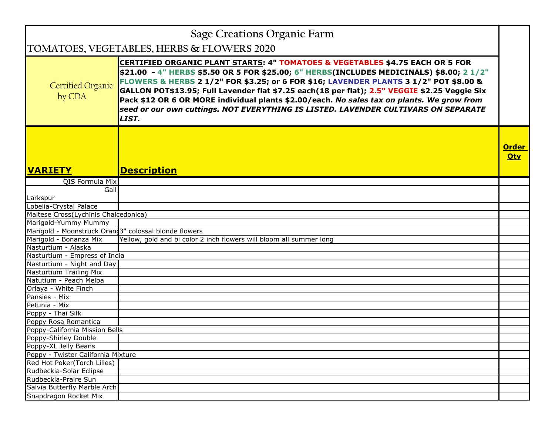| <b>Sage Creations Organic Farm</b>                    |                                                                                                                                                                                                                                                                                                                                                                                                                                                                                                                                                                             |                            |
|-------------------------------------------------------|-----------------------------------------------------------------------------------------------------------------------------------------------------------------------------------------------------------------------------------------------------------------------------------------------------------------------------------------------------------------------------------------------------------------------------------------------------------------------------------------------------------------------------------------------------------------------------|----------------------------|
| TOMATOES, VEGETABLES, HERBS & FLOWERS 2020            |                                                                                                                                                                                                                                                                                                                                                                                                                                                                                                                                                                             |                            |
| Certified Organic<br>by CDA                           | <b>CERTIFIED ORGANIC PLANT STARTS: 4" TOMATOES &amp; VEGETABLES \$4.75 EACH OR 5 FOR</b><br>\$21.00 - 4" HERBS \$5.50 OR 5 FOR \$25.00; 6" HERBS(INCLUDES MEDICINALS) \$8.00; 2 1/2"<br>FLOWERS & HERBS 2 1/2" FOR \$3.25; or 6 FOR \$16; LAVENDER PLANTS 3 1/2" POT \$8.00 &<br>GALLON POT\$13.95; Full Lavender flat \$7.25 each(18 per flat); 2.5" VEGGIE \$2.25 Veggie Six<br>Pack \$12 OR 6 OR MORE individual plants \$2.00/each. No sales tax on plants. We grow from<br>seed or our own cuttings. NOT EVERYTHING IS LISTED. LAVENDER CULTIVARS ON SEPARATE<br>LIST. |                            |
| <b>VARIETY</b>                                        | <b>Description</b>                                                                                                                                                                                                                                                                                                                                                                                                                                                                                                                                                          | <b>Order</b><br><b>Qty</b> |
| QIS Formula Mix                                       |                                                                                                                                                                                                                                                                                                                                                                                                                                                                                                                                                                             |                            |
| Gall                                                  |                                                                                                                                                                                                                                                                                                                                                                                                                                                                                                                                                                             |                            |
| Larkspur                                              |                                                                                                                                                                                                                                                                                                                                                                                                                                                                                                                                                                             |                            |
| Lobelia-Crystal Palace                                |                                                                                                                                                                                                                                                                                                                                                                                                                                                                                                                                                                             |                            |
| Maltese Cross(Lychinis Chalcedonica)                  |                                                                                                                                                                                                                                                                                                                                                                                                                                                                                                                                                                             |                            |
| Marigold-Yummy Mummy                                  |                                                                                                                                                                                                                                                                                                                                                                                                                                                                                                                                                                             |                            |
| Marigold - Moonstruck Oran 3" colossal blonde flowers |                                                                                                                                                                                                                                                                                                                                                                                                                                                                                                                                                                             |                            |
| Marigold - Bonanza Mix                                | Yellow, gold and bi color 2 inch flowers will bloom all summer long                                                                                                                                                                                                                                                                                                                                                                                                                                                                                                         |                            |
| Nasturtium - Alaska                                   |                                                                                                                                                                                                                                                                                                                                                                                                                                                                                                                                                                             |                            |
| Nasturtium - Empress of India                         |                                                                                                                                                                                                                                                                                                                                                                                                                                                                                                                                                                             |                            |
| Nasturtium - Night and Day                            |                                                                                                                                                                                                                                                                                                                                                                                                                                                                                                                                                                             |                            |
| Nasturtium Trailing Mix                               |                                                                                                                                                                                                                                                                                                                                                                                                                                                                                                                                                                             |                            |
| Natutium - Peach Melba                                |                                                                                                                                                                                                                                                                                                                                                                                                                                                                                                                                                                             |                            |
| Orlaya - White Finch                                  |                                                                                                                                                                                                                                                                                                                                                                                                                                                                                                                                                                             |                            |
| Pansies - Mix                                         |                                                                                                                                                                                                                                                                                                                                                                                                                                                                                                                                                                             |                            |
| Petunia - Mix                                         |                                                                                                                                                                                                                                                                                                                                                                                                                                                                                                                                                                             |                            |
| Poppy - Thai Silk                                     |                                                                                                                                                                                                                                                                                                                                                                                                                                                                                                                                                                             |                            |
| Poppy Rosa Romantica                                  |                                                                                                                                                                                                                                                                                                                                                                                                                                                                                                                                                                             |                            |
| Poppy-California Mission Bells                        |                                                                                                                                                                                                                                                                                                                                                                                                                                                                                                                                                                             |                            |
| Poppy-Shirley Double                                  |                                                                                                                                                                                                                                                                                                                                                                                                                                                                                                                                                                             |                            |
| Poppy-XL Jelly Beans                                  |                                                                                                                                                                                                                                                                                                                                                                                                                                                                                                                                                                             |                            |
| Poppy - Twister California Mixture                    |                                                                                                                                                                                                                                                                                                                                                                                                                                                                                                                                                                             |                            |
| Red Hot Poker(Torch Lilies)                           |                                                                                                                                                                                                                                                                                                                                                                                                                                                                                                                                                                             |                            |
| Rudbeckia-Solar Eclipse                               |                                                                                                                                                                                                                                                                                                                                                                                                                                                                                                                                                                             |                            |
| Rudbeckia-Praire Sun                                  |                                                                                                                                                                                                                                                                                                                                                                                                                                                                                                                                                                             |                            |
| Salvia Butterfly Marble Arch                          |                                                                                                                                                                                                                                                                                                                                                                                                                                                                                                                                                                             |                            |
| Snapdragon Rocket Mix                                 |                                                                                                                                                                                                                                                                                                                                                                                                                                                                                                                                                                             |                            |